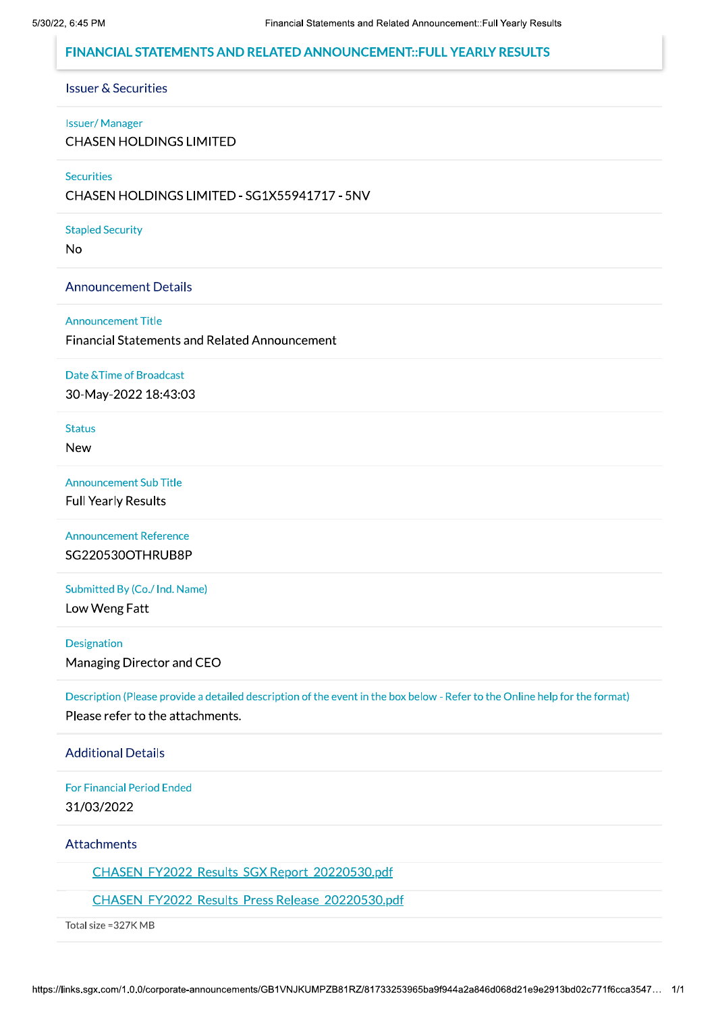# FINANCIAL STATEMENTS AND RELATED ANNOUNCEMENT:: FULL YEARLY RESULTS

#### **Issuer & Securities**

#### **Issuer/Manager**

**CHASEN HOLDINGS LIMITED** 

#### Securities

CHASEN HOLDINGS LIMITED - SG1X55941717 - 5NV

#### **Stapled Security**

**No** 

#### **Announcement Details**

#### **Announcement Title**

**Financial Statements and Related Announcement** 

#### Date & Time of Broadcast

30-May-2022 18:43:03

# **Status**

**New** 

#### **Announcement Sub Title**

**Full Yearly Results** 

**Announcement Reference** SG220530OTHRUB8P

Submitted By (Co./ Ind. Name) Low Weng Fatt

#### Designation

Managing Director and CEO

Description (Please provide a detailed description of the event in the box below - Refer to the Online help for the format) Please refer to the attachments.

#### **Additional Details**

**For Financial Period Ended** 31/03/2022

### Attachments

CHASEN FY2022 Results SGX Report 20220530.pdf

### CHASEN FY2022 Results Press Release 20220530.pdf

Total size = 327K MB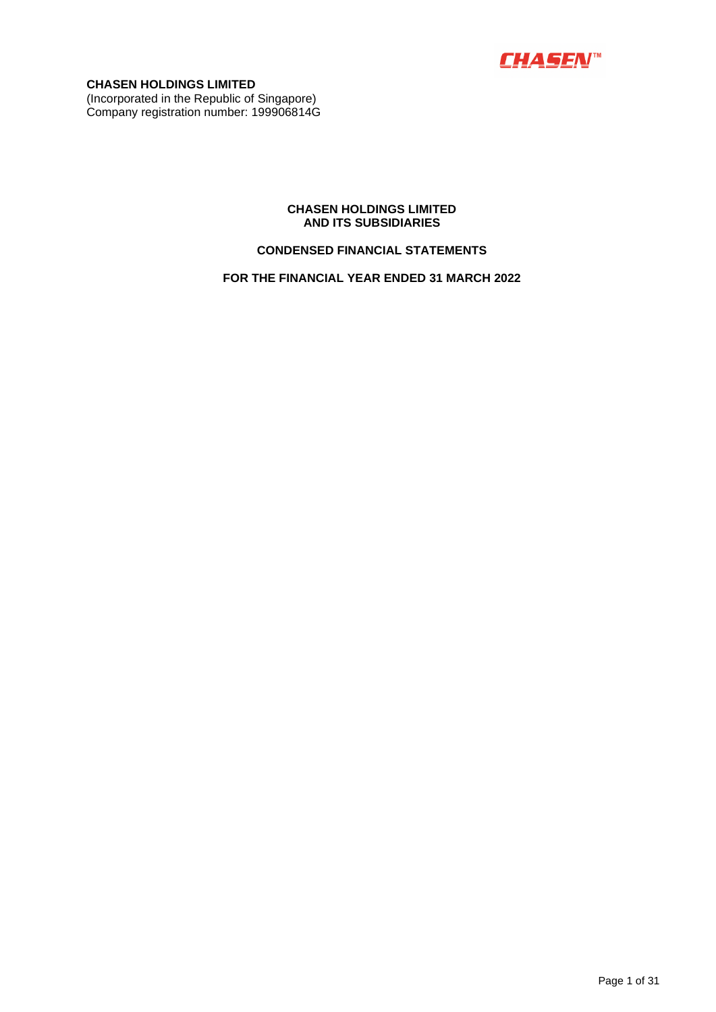

**CHASEN HOLDINGS LIMITED**  (Incorporated in the Republic of Singapore) Company registration number: 199906814G

### **CHASEN HOLDINGS LIMITED AND ITS SUBSIDIARIES**

### **CONDENSED FINANCIAL STATEMENTS**

**FOR THE FINANCIAL YEAR ENDED 31 MARCH 2022**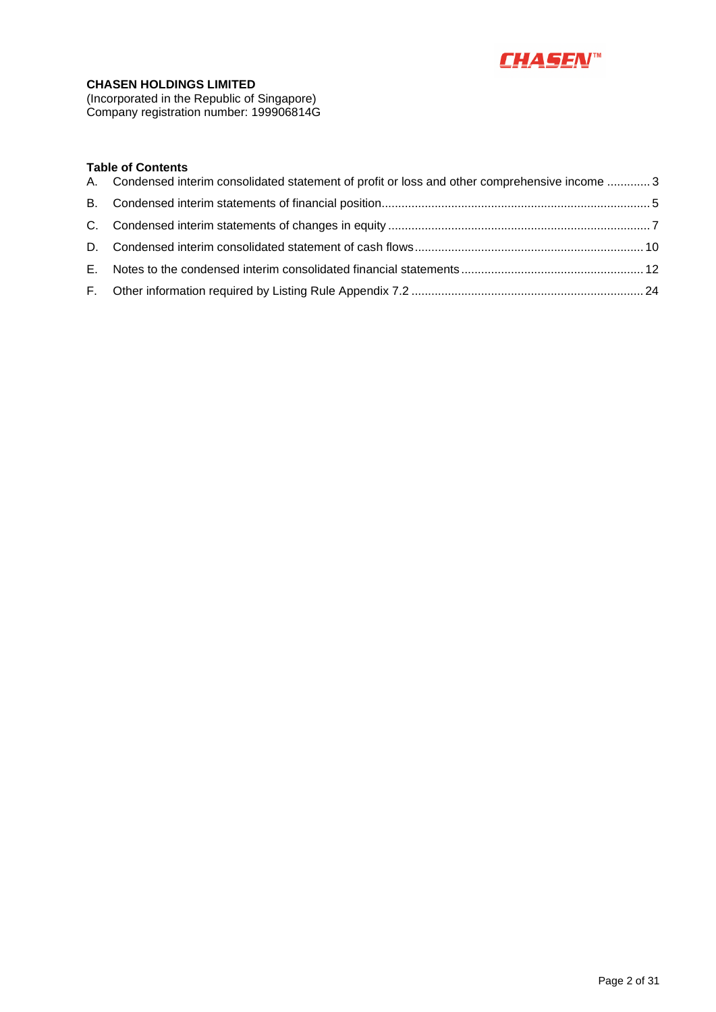

(Incorporated in the Republic of Singapore) Company registration number: 199906814G

### **Table of Contents**

| A. Condensed interim consolidated statement of profit or loss and other comprehensive income  3 |  |
|-------------------------------------------------------------------------------------------------|--|
|                                                                                                 |  |
|                                                                                                 |  |
|                                                                                                 |  |
|                                                                                                 |  |
|                                                                                                 |  |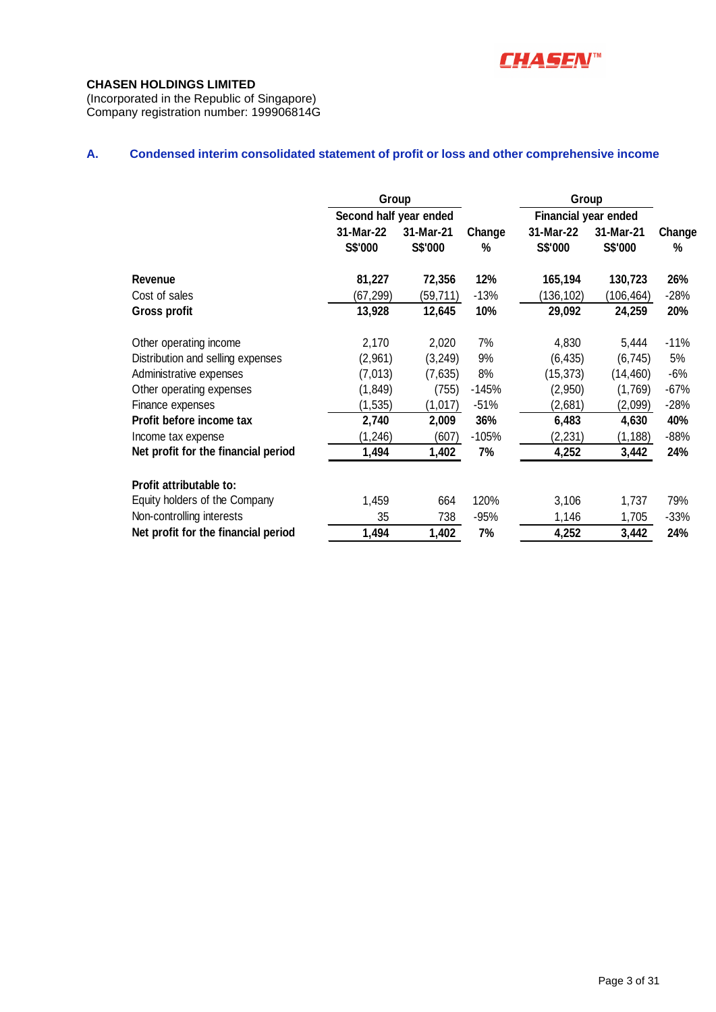

(Incorporated in the Republic of Singapore) Company registration number: 199906814G

# **A. Condensed interim consolidated statement of profit or loss and other comprehensive income**

|                                     | Group                  |                      |             |                             | Group                |             |  |
|-------------------------------------|------------------------|----------------------|-------------|-----------------------------|----------------------|-------------|--|
|                                     | Second half year ended |                      |             | <b>Financial year ended</b> |                      |             |  |
|                                     | 31-Mar-22<br>S\$'000   | 31-Mar-21<br>S\$'000 | Change<br>% | 31-Mar-22<br>S\$'000        | 31-Mar-21<br>S\$'000 | Change<br>% |  |
| <b>Revenue</b>                      | 81,227                 | 72,356               | 12%         | 165,194                     | 130,723              | 26%         |  |
| Cost of sales                       | (67,299)               | (59,711)             | $-13%$      | 136, 102                    | (106,464)            | $-28%$      |  |
| <b>Gross profit</b>                 | 13,928                 | 12,645               | 10%         | 29,092                      | 24,259               | 20%         |  |
| Other operating income              | 2,170                  | 2,020                | 7%          | 4,830                       | 5,444                | $-11%$      |  |
| Distribution and selling expenses   | (2,961)                | (3, 249)             | 9%          | (6, 435)                    | (6, 745)             | 5%          |  |
| Administrative expenses             | (7,013)                | (7,635)              | 8%          | (15, 373)                   | (14, 460)            | $-6%$       |  |
| Other operating expenses            | (1, 849)               | (755)                | $-145%$     | (2,950)                     | (1,769)              | $-67%$      |  |
| Finance expenses                    | (1, 535)               | (1,017)              | $-51%$      | (2,681)                     | (2,099)              | $-28%$      |  |
| Profit before income tax            | 2,740                  | 2,009                | 36%         | 6,483                       | 4,630                | 40%         |  |
| Income tax expense                  | (1, 246)               | (607)                | $-105%$     | (2,231)                     | (1, 188)             | $-88%$      |  |
| Net profit for the financial period | 1,494                  | 1,402                | 7%          | 4,252                       | 3,442                | 24%         |  |
| Profit attributable to:             |                        |                      |             |                             |                      |             |  |
| Equity holders of the Company       | 1,459                  | 664                  | 120%        | 3,106                       | 1,737                | 79%         |  |
| Non-controlling interests           | 35                     | 738                  | $-95%$      | 1,146                       | 1,705                | $-33%$      |  |
| Net profit for the financial period | 1,494                  | 1,402                | 7%          | 4,252                       | 3,442                | 24%         |  |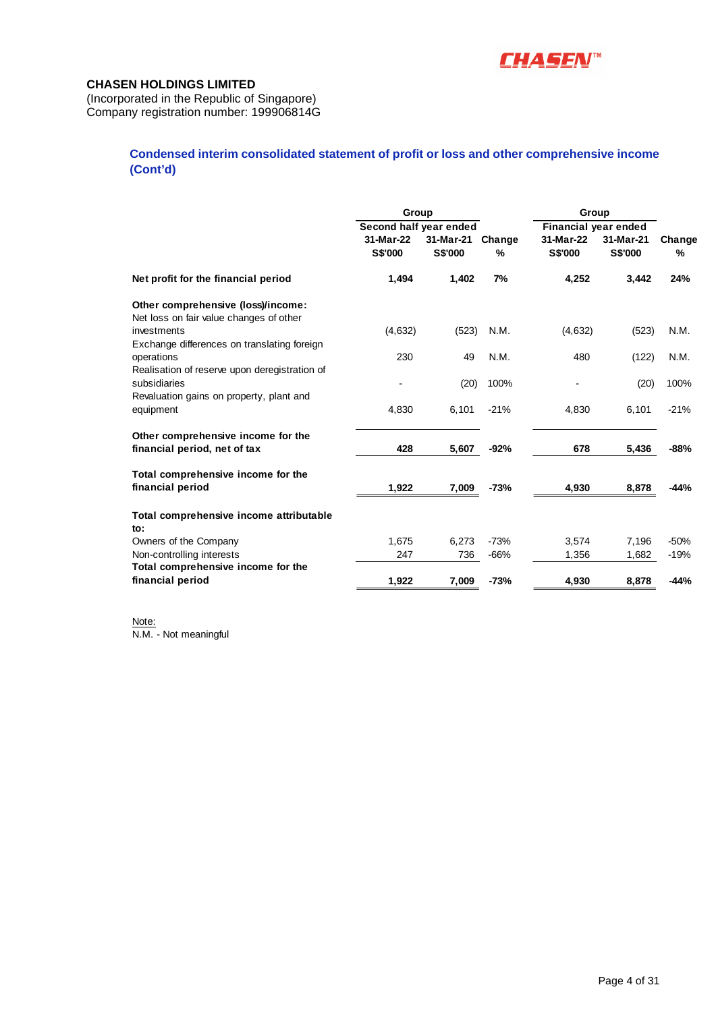

(Incorporated in the Republic of Singapore) Company registration number: 199906814G

### **Condensed interim consolidated statement of profit or loss and other comprehensive income (Cont'd)**

|                                                                               | Group                                                 |                      |             | Group                                        |                             |             |
|-------------------------------------------------------------------------------|-------------------------------------------------------|----------------------|-------------|----------------------------------------------|-----------------------------|-------------|
|                                                                               | Second half year ended<br>31-Mar-22<br><b>S\$'000</b> | 31-Mar-21<br>S\$'000 | Change<br>% | Financial year ended<br>31-Mar-22<br>S\$'000 | 31-Mar-21<br><b>S\$'000</b> | Change<br>% |
| Net profit for the financial period                                           | 1,494                                                 | 1,402                | 7%          | 4,252                                        | 3,442                       | 24%         |
| Other comprehensive (loss)/income:<br>Net loss on fair value changes of other |                                                       |                      |             |                                              |                             |             |
| investments<br>Exchange differences on translating foreign                    | (4,632)                                               | (523)                | N.M.        | (4, 632)                                     | (523)                       | N.M.        |
| operations<br>Realisation of reserve upon deregistration of                   | 230                                                   | 49                   | N.M.        | 480                                          | (122)                       | N.M.        |
| subsidiaries<br>Revaluation gains on property, plant and                      |                                                       | (20)                 | 100%        |                                              | (20)                        | 100%        |
| equipment                                                                     | 4,830                                                 | 6,101                | $-21%$      | 4,830                                        | 6,101                       | $-21%$      |
| Other comprehensive income for the<br>financial period, net of tax            | 428                                                   | 5,607                | $-92%$      | 678                                          | 5,436                       | $-88%$      |
| Total comprehensive income for the<br>financial period                        | 1,922                                                 | 7,009                | $-73%$      | 4,930                                        | 8,878                       | $-44%$      |
| Total comprehensive income attributable<br>to:                                |                                                       |                      |             |                                              |                             |             |
| Owners of the Company                                                         | 1,675                                                 | 6,273                | $-73%$      | 3,574                                        | 7,196                       | $-50%$      |
| Non-controlling interests                                                     | 247                                                   | 736                  | $-66%$      | 1,356                                        | 1,682                       | $-19%$      |
| Total comprehensive income for the<br>financial period                        | 1,922                                                 | 7,009                | $-73%$      | 4,930                                        | 8,878                       | $-44%$      |

Note: N.M. - Not meaningful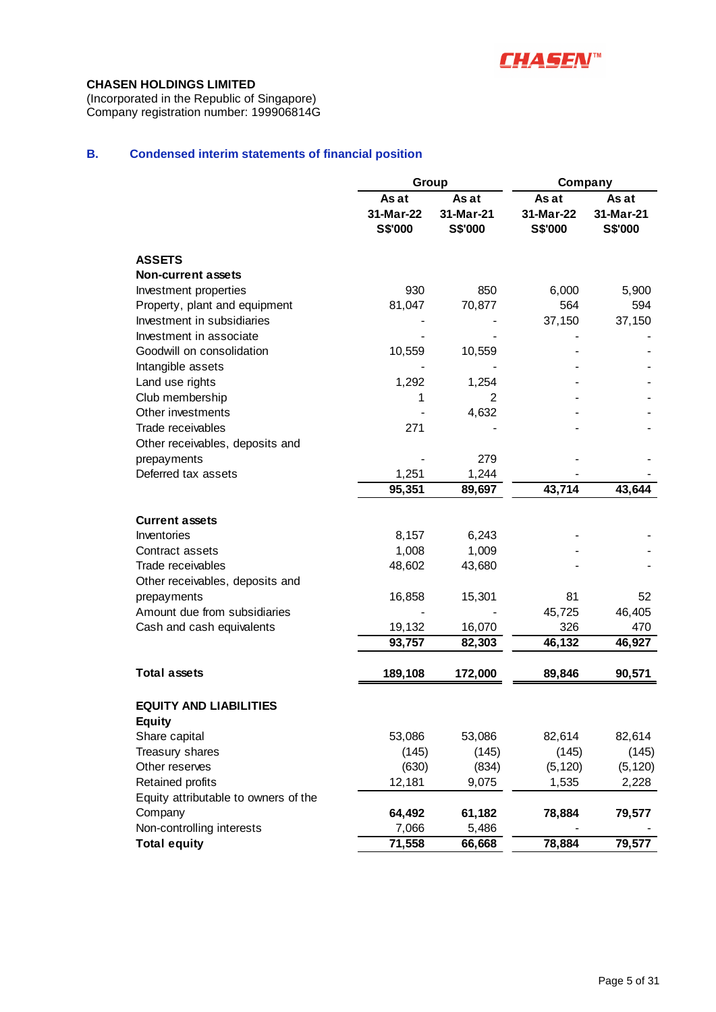

(Incorporated in the Republic of Singapore) Company registration number: 199906814G

# **B. Condensed interim statements of financial position**

|                                      | Group                                |                               | Company                              |                               |
|--------------------------------------|--------------------------------------|-------------------------------|--------------------------------------|-------------------------------|
|                                      | As at<br>31-Mar-22<br><b>S\$'000</b> | As at<br>31-Mar-21<br>S\$'000 | As at<br>31-Mar-22<br><b>S\$'000</b> | As at<br>31-Mar-21<br>S\$'000 |
| <b>ASSETS</b>                        |                                      |                               |                                      |                               |
| <b>Non-current assets</b>            |                                      |                               |                                      |                               |
| Investment properties                | 930                                  | 850                           | 6,000                                | 5,900                         |
| Property, plant and equipment        | 81,047                               | 70,877                        | 564                                  | 594                           |
| Investment in subsidiaries           |                                      |                               | 37,150                               | 37,150                        |
| Investment in associate              |                                      |                               |                                      |                               |
| Goodwill on consolidation            | 10,559                               | 10,559                        |                                      |                               |
| Intangible assets                    |                                      |                               |                                      |                               |
| Land use rights                      | 1,292                                | 1,254                         |                                      |                               |
| Club membership                      | 1                                    | 2                             |                                      |                               |
| Other investments                    |                                      | 4,632                         |                                      |                               |
| Trade receivables                    | 271                                  |                               |                                      |                               |
| Other receivables, deposits and      |                                      |                               |                                      |                               |
| prepayments                          |                                      | 279                           |                                      |                               |
| Deferred tax assets                  | 1,251                                | 1,244                         |                                      |                               |
|                                      | 95,351                               | 89,697                        | 43,714                               | 43,644                        |
| <b>Current assets</b>                |                                      |                               |                                      |                               |
| Inventories                          | 8,157                                | 6,243                         |                                      |                               |
| Contract assets                      | 1,008                                | 1,009                         |                                      |                               |
| Trade receivables                    | 48,602                               | 43,680                        |                                      |                               |
| Other receivables, deposits and      |                                      |                               |                                      |                               |
| prepayments                          | 16,858                               | 15,301                        | 81                                   | 52                            |
| Amount due from subsidiaries         |                                      |                               | 45,725                               | 46,405                        |
| Cash and cash equivalents            | 19,132                               | 16,070                        | 326                                  | 470                           |
|                                      | 93,757                               | 82,303                        | 46,132                               | 46,927                        |
| <b>Total assets</b>                  | 189,108                              | 172,000                       | 89,846                               | 90,571                        |
|                                      |                                      |                               |                                      |                               |
| <b>EQUITY AND LIABILITIES</b>        |                                      |                               |                                      |                               |
| <b>Equity</b>                        |                                      |                               |                                      |                               |
| Share capital                        | 53,086                               | 53,086                        | 82,614                               | 82,614                        |
| Treasury shares                      | (145)                                | (145)                         | (145)                                | (145)                         |
| Other reserves                       | (630)                                | (834)                         | (5, 120)                             | (5, 120)                      |
| Retained profits                     | 12,181                               | 9,075                         | 1,535                                | 2,228                         |
| Equity attributable to owners of the |                                      |                               |                                      |                               |
| Company                              | 64,492                               | 61,182                        | 78,884                               | 79,577                        |
| Non-controlling interests            | 7,066                                | 5,486                         |                                      |                               |
| <b>Total equity</b>                  | 71,558                               | 66,668                        | 78,884                               | 79,577                        |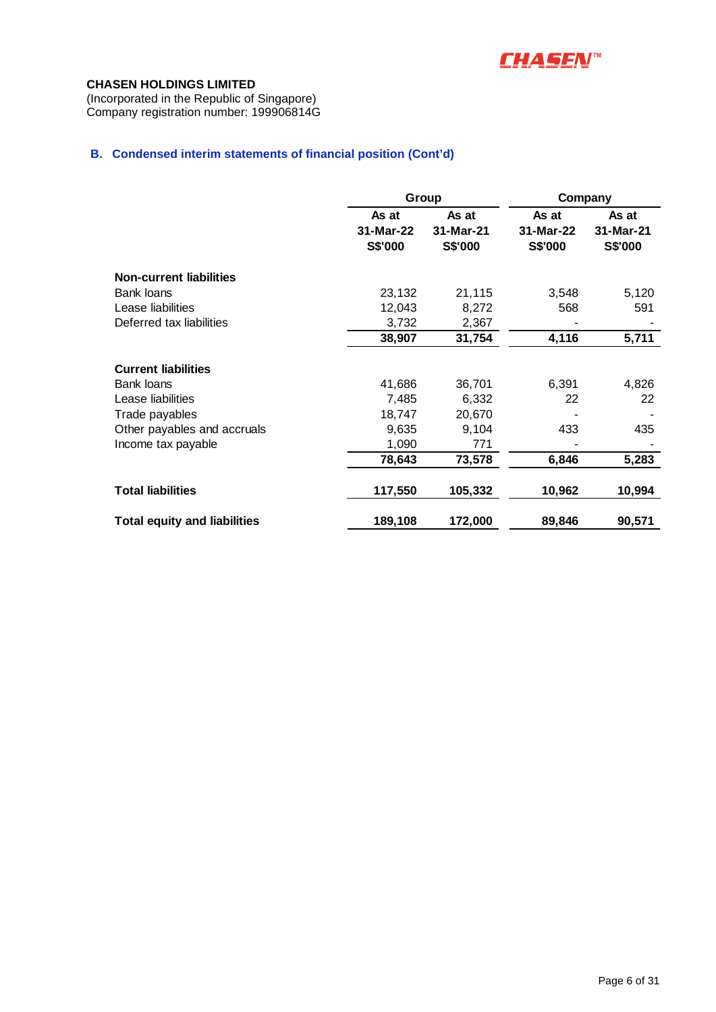

(Incorporated in the Republic of Singapore) Company registration number: 199906814G

### **B. Condensed interim statements of financial position (Cont'd)**

|                                     | Group                         |                               | Company                       |                               |  |
|-------------------------------------|-------------------------------|-------------------------------|-------------------------------|-------------------------------|--|
|                                     | As at<br>31-Mar-22<br>S\$'000 | As at<br>31-Mar-21<br>S\$'000 | As at<br>31-Mar-22<br>S\$'000 | As at<br>31-Mar-21<br>S\$'000 |  |
| <b>Non-current liabilities</b>      |                               |                               |                               |                               |  |
| Bank loans                          | 23,132                        | 21,115                        | 3,548                         | 5,120                         |  |
| Lease liabilities                   | 12,043                        | 8,272                         | 568                           | 591                           |  |
| Deferred tax liabilities            | 3,732                         | 2,367                         |                               |                               |  |
|                                     | 38,907                        | 31,754                        | 4,116                         | 5,711                         |  |
| <b>Current liabilities</b>          |                               |                               |                               |                               |  |
| Bank loans                          | 41,686                        | 36,701                        | 6,391                         | 4,826                         |  |
| Lease liabilities                   | 7,485                         | 6,332                         | 22                            | 22                            |  |
| Trade payables                      | 18,747                        | 20,670                        |                               |                               |  |
| Other payables and accruals         | 9,635                         | 9,104                         | 433                           | 435                           |  |
| Income tax payable                  | 1,090                         | 771                           |                               |                               |  |
|                                     | 78,643                        | 73,578                        | 6,846                         | 5,283                         |  |
| <b>Total liabilities</b>            | 117,550                       | 105,332                       | 10,962                        | 10,994                        |  |
| <b>Total equity and liabilities</b> | 189,108                       | 172,000                       | 89,846                        | 90,571                        |  |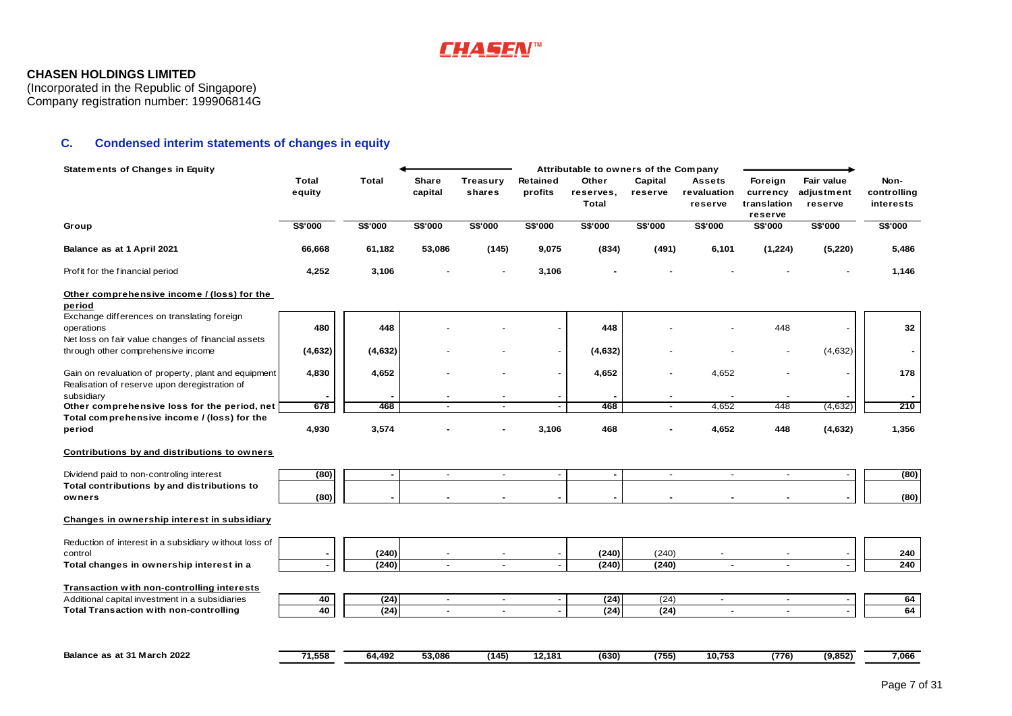

(Incorporated in the Republic of Singapore) Company registration number: 199906814G

### **C. Condensed interim statements of changes in equity**

| <b>Statements of Changes in Equity</b>                                                                          |                        |                |                  |                          |                          | Attributable to owners of the Company |                          |                                         |                                               |                                     |                                  |
|-----------------------------------------------------------------------------------------------------------------|------------------------|----------------|------------------|--------------------------|--------------------------|---------------------------------------|--------------------------|-----------------------------------------|-----------------------------------------------|-------------------------------------|----------------------------------|
|                                                                                                                 | <b>Total</b><br>equity | <b>Total</b>   | Share<br>capital | Treasury<br>shares       | Retained<br>profits      | Other<br>reserves,<br><b>Total</b>    | Capital<br>reserve       | <b>Assets</b><br>revaluation<br>reserve | Foreign<br>currency<br>translation<br>reserve | Fair value<br>adjustment<br>reserve | Non-<br>controlling<br>interests |
| Group                                                                                                           | S\$'000                | S\$'000        | <b>S\$'000</b>   | <b>S\$'000</b>           | <b>S\$'000</b>           | S\$'000                               | <b>S\$'000</b>           | <b>S\$'000</b>                          | S\$'000                                       | S\$'000                             | <b>S\$'000</b>                   |
| Balance as at 1 April 2021                                                                                      | 66,668                 | 61,182         | 53,086           | (145)                    | 9,075                    | (834)                                 | (491)                    | 6,101                                   | (1,224)                                       | (5, 220)                            | 5,486                            |
| Profit for the financial period                                                                                 | 4,252                  | 3,106          |                  |                          | 3,106                    |                                       |                          |                                         |                                               |                                     | 1,146                            |
| Other comprehensive income / (loss) for the<br>period                                                           |                        |                |                  |                          |                          |                                       |                          |                                         |                                               |                                     |                                  |
| Exchange differences on translating foreign<br>operations<br>Net loss on fair value changes of financial assets | 480                    | 448            |                  |                          |                          | 448                                   |                          |                                         | 448                                           |                                     | 32                               |
| through other comprehensive income                                                                              | (4,632)                | (4,632)        |                  |                          |                          | (4,632)                               |                          |                                         |                                               | (4,632)                             |                                  |
| Gain on revaluation of property, plant and equipment<br>Realisation of reserve upon deregistration of           | 4,830                  | 4,652          |                  |                          |                          | 4,652                                 |                          | 4,652                                   |                                               |                                     | 178                              |
| subsidiary                                                                                                      |                        |                |                  |                          |                          |                                       |                          |                                         |                                               |                                     |                                  |
| Other comprehensive loss for the period, net<br>Total comprehensive income / (loss) for the                     | 678                    | 468            | $\blacksquare$   | ٠                        |                          | 468                                   | ٠                        | 4,652                                   | 448                                           | (4,632)                             | 210                              |
| period                                                                                                          | 4,930                  | 3,574          |                  |                          | 3,106                    | 468                                   |                          | 4,652                                   | 448                                           | (4,632)                             | 1,356                            |
| Contributions by and distributions to owners                                                                    |                        |                |                  |                          |                          |                                       |                          |                                         |                                               |                                     |                                  |
| Dividend paid to non-controling interest                                                                        | (80)                   | $\blacksquare$ | $\sim$           | $\overline{\phantom{a}}$ | $\overline{\phantom{a}}$ | $\blacksquare$                        | $\overline{\phantom{a}}$ | $\sim$                                  | $\sim$                                        |                                     | (80)                             |
| Total contributions by and distributions to<br>owners                                                           | (80)                   |                | $\blacksquare$   |                          |                          |                                       | $\blacksquare$           |                                         |                                               |                                     | (80)                             |
| Changes in ownership interest in subsidiary                                                                     |                        |                |                  |                          |                          |                                       |                          |                                         |                                               |                                     |                                  |
| Reduction of interest in a subsidiary without loss of                                                           |                        |                |                  |                          |                          |                                       |                          |                                         |                                               |                                     |                                  |
| control                                                                                                         |                        | (240)          |                  |                          |                          | (240)                                 | (240)                    |                                         |                                               |                                     | 240                              |
| Total changes in ownership interest in a                                                                        |                        | (240)          | $\sim$           | $\blacksquare$           | $\overline{\phantom{a}}$ | (240)                                 | (240)                    | $\blacksquare$                          | $\blacksquare$                                |                                     | 240                              |
| Transaction with non-controlling interests                                                                      |                        |                |                  |                          |                          |                                       |                          |                                         |                                               |                                     |                                  |
| Additional capital investment in a subsidiaries                                                                 | 40                     | (24)           | $\blacksquare$   | $\blacksquare$           | $\blacksquare$           | (24)                                  | (24)                     | $\sim$                                  | $\sim$                                        |                                     | 64                               |
| <b>Total Transaction with non-controlling</b>                                                                   | 40                     | (24)           | $\blacksquare$   | $\blacksquare$           |                          | (24)                                  | (24)                     | $\blacksquare$                          | $\blacksquare$                                |                                     | 64                               |
|                                                                                                                 |                        |                |                  |                          |                          |                                       |                          |                                         |                                               |                                     |                                  |
| Balance as at 31 March 2022                                                                                     | 71,558                 | 64,492         | 53,086           | (145)                    | 12,181                   | (630)                                 | (755)                    | 10,753                                  | (776)                                         | (9, 852)                            | 7,066                            |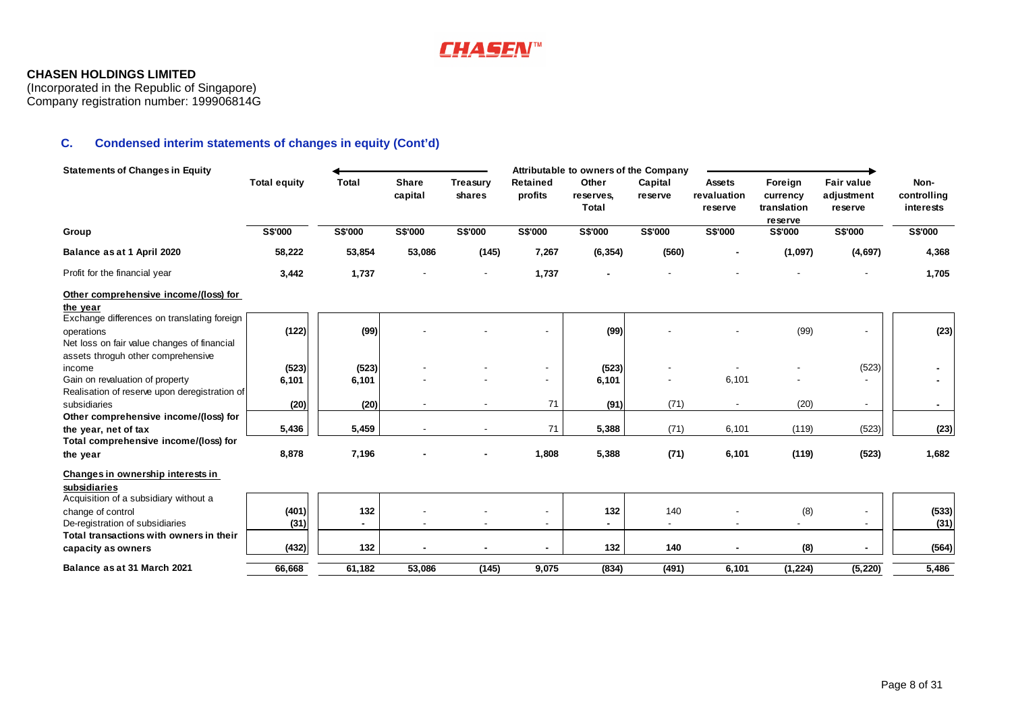

(Incorporated in the Republic of Singapore) Company registration number: 199906814G

# **C. Condensed interim statements of changes in equity (Cont'd)**

| <b>Statements of Changes in Equity</b>                    |                     |                |                          |                    |                          | Attributable to owners of the Company |                          |                                         |                                               |                                            |                                  |
|-----------------------------------------------------------|---------------------|----------------|--------------------------|--------------------|--------------------------|---------------------------------------|--------------------------|-----------------------------------------|-----------------------------------------------|--------------------------------------------|----------------------------------|
|                                                           | <b>Total equity</b> | <b>Total</b>   | <b>Share</b><br>capital  | Treasury<br>shares | Retained<br>profits      | Other<br>reserves,<br>Total           | Capital<br>reserve       | <b>Assets</b><br>revaluation<br>reserve | Foreign<br>currency<br>translation<br>reserve | <b>Fair value</b><br>adjustment<br>reserve | Non-<br>controlling<br>interests |
| Group                                                     | <b>S\$'000</b>      | <b>S\$'000</b> | <b>S\$'000</b>           | <b>S\$'000</b>     | <b>S\$'000</b>           | S\$'000                               | S\$'000                  | S\$'000                                 | <b>S\$'000</b>                                | S\$'000                                    | <b>S\$'000</b>                   |
| Balance as at 1 April 2020                                | 58,222              | 53,854         | 53,086                   | (145)              | 7,267                    | (6, 354)                              | (560)                    |                                         | (1,097)                                       | (4,697)                                    | 4,368                            |
| Profit for the financial year                             | 3,442               | 1,737          |                          |                    | 1,737                    |                                       |                          |                                         |                                               |                                            | 1,705                            |
| Other comprehensive income/(loss) for                     |                     |                |                          |                    |                          |                                       |                          |                                         |                                               |                                            |                                  |
| the year                                                  |                     |                |                          |                    |                          |                                       |                          |                                         |                                               |                                            |                                  |
| Exchange differences on translating foreign<br>operations | (122)               | (99)           |                          |                    |                          | (99)                                  |                          |                                         | (99)                                          |                                            | (23)                             |
| Net loss on fair value changes of financial               |                     |                |                          |                    |                          |                                       |                          |                                         |                                               |                                            |                                  |
| assets throguh other comprehensive                        |                     |                |                          |                    |                          |                                       |                          |                                         |                                               |                                            |                                  |
| income                                                    | (523)               | (523)          |                          |                    |                          | (523)                                 |                          |                                         |                                               | (523)                                      |                                  |
| Gain on revaluation of property                           | 6,101               | 6,101          |                          |                    | $\overline{\phantom{a}}$ | 6,101                                 |                          | 6,101                                   |                                               |                                            |                                  |
| Realisation of reserve upon deregistration of             |                     |                |                          |                    |                          |                                       |                          |                                         |                                               |                                            |                                  |
| subsidiaries                                              | (20)                | (20)           |                          |                    | 71                       | (91)                                  | (71)                     |                                         | (20)                                          | $\overline{\phantom{a}}$                   | $\blacksquare$                   |
| Other comprehensive income/(loss) for                     |                     |                |                          |                    |                          |                                       |                          |                                         |                                               |                                            |                                  |
| the year, net of tax                                      | 5,436               | 5,459          |                          |                    | 71                       | 5,388                                 | (71)                     | 6,101                                   | (119)                                         | (523)                                      | (23)                             |
| Total comprehensive income/(loss) for                     |                     |                |                          |                    |                          |                                       |                          |                                         |                                               |                                            |                                  |
| the year                                                  | 8,878               | 7,196          |                          |                    | 1,808                    | 5,388                                 | (71)                     | 6,101                                   | (119)                                         | (523)                                      | 1,682                            |
| Changes in ownership interests in                         |                     |                |                          |                    |                          |                                       |                          |                                         |                                               |                                            |                                  |
| subsidiaries                                              |                     |                |                          |                    |                          |                                       |                          |                                         |                                               |                                            |                                  |
| Acquisition of a subsidiary without a                     |                     |                |                          |                    |                          |                                       |                          |                                         |                                               |                                            |                                  |
| change of control                                         | (401)               | 132            |                          |                    |                          | 132                                   | 140                      |                                         | (8)                                           |                                            | (533)                            |
| De-registration of subsidiaries                           | (31)                |                | $\overline{\phantom{a}}$ |                    | $\overline{\phantom{a}}$ |                                       | $\overline{\phantom{0}}$ |                                         | $\overline{\phantom{0}}$                      |                                            | (31)                             |
| Total transactions with owners in their                   |                     |                |                          |                    |                          |                                       |                          |                                         |                                               |                                            |                                  |
| capacity as owners                                        | (432)               | 132            |                          |                    | ٠                        | 132                                   | 140                      |                                         | (8)                                           | $\blacksquare$                             | (564)                            |
| Balance as at 31 March 2021                               | 66,668              | 61,182         | 53,086                   | (145)              | 9,075                    | (834)                                 | (491)                    | 6,101                                   | (1, 224)                                      | (5, 220)                                   | 5,486                            |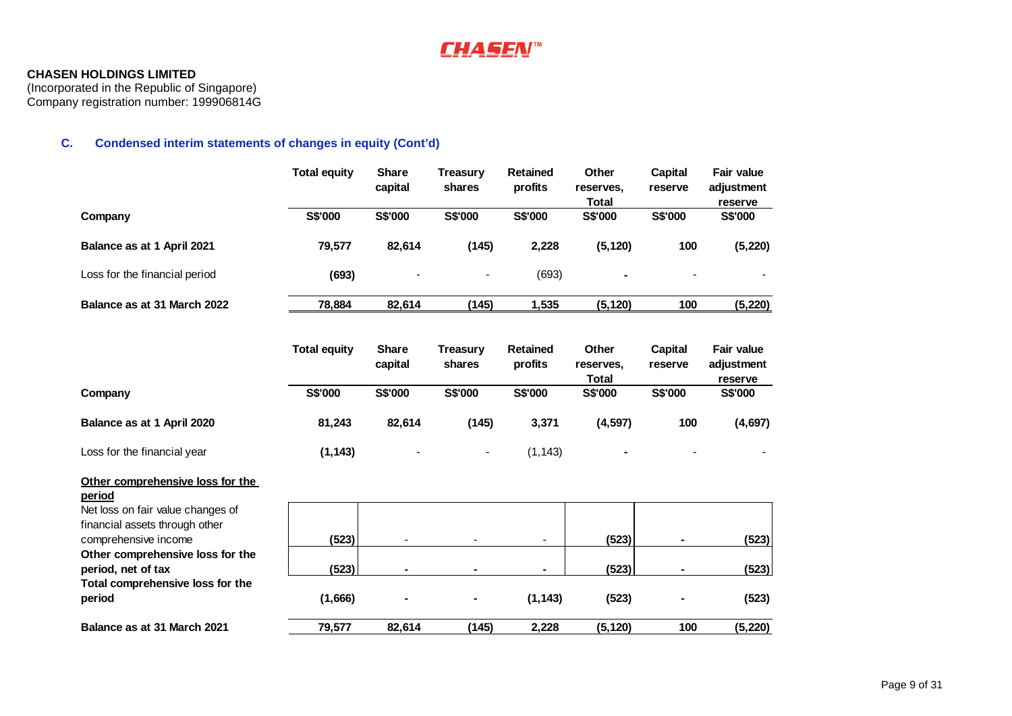# **CHASEN™**

### **CHASEN HOLDINGS LIMITED**

(Incorporated in the Republic of Singapore) Company registration number: 199906814G

# **C. Condensed interim statements of changes in equity (Cont'd)**

|                                                                                                                   | <b>Total equity</b> | <b>Share</b><br>capital | <b>Treasury</b><br>shares | <b>Retained</b><br>profits | Other<br>reserves,<br><b>Total</b> | <b>Capital</b><br>reserve | <b>Fair value</b><br>adjustment<br>reserve |
|-------------------------------------------------------------------------------------------------------------------|---------------------|-------------------------|---------------------------|----------------------------|------------------------------------|---------------------------|--------------------------------------------|
| Company                                                                                                           | S\$'000             | S\$'000                 | S\$'000                   | S\$'000                    | S\$'000                            | S\$'000                   | S\$'000                                    |
| Balance as at 1 April 2021                                                                                        | 79,577              | 82,614                  | (145)                     | 2,228                      | (5, 120)                           | 100                       | (5, 220)                                   |
| Loss for the financial period                                                                                     | (693)               |                         |                           | (693)                      |                                    |                           |                                            |
| Balance as at 31 March 2022                                                                                       | 78,884              | 82,614                  | (145)                     | 1,535                      | (5, 120)                           | 100                       | (5, 220)                                   |
|                                                                                                                   | <b>Total equity</b> | <b>Share</b><br>capital | <b>Treasury</b><br>shares | <b>Retained</b><br>profits | Other<br>reserves,<br><b>Total</b> | <b>Capital</b><br>reserve | <b>Fair value</b><br>adjustment<br>reserve |
| Company                                                                                                           | S\$'000             | S\$'000                 | S\$'000                   | S\$'000                    | S\$'000                            | S\$'000                   | S\$'000                                    |
| Balance as at 1 April 2020                                                                                        | 81,243              | 82,614                  | (145)                     | 3,371                      | (4, 597)                           | 100                       | (4, 697)                                   |
| Loss for the financial year                                                                                       | (1, 143)            |                         | $\blacksquare$            | (1, 143)                   |                                    |                           |                                            |
| Other comprehensive loss for the<br>period<br>Net loss on fair value changes of<br>financial assets through other |                     |                         |                           |                            |                                    |                           |                                            |
| comprehensive income                                                                                              | (523)               |                         | $\blacksquare$            | $\blacksquare$             | (523)                              | ۰                         | (523)                                      |
| Other comprehensive loss for the<br>period, net of tax                                                            | (523)               |                         |                           | ۰                          | (523)                              |                           | (523)                                      |
| Total comprehensive loss for the<br>period                                                                        | (1,666)             |                         |                           | (1, 143)                   | (523)                              |                           | (523)                                      |
| Balance as at 31 March 2021                                                                                       | 79,577              | 82,614                  | (145)                     | 2,228                      | (5, 120)                           | 100                       | (5, 220)                                   |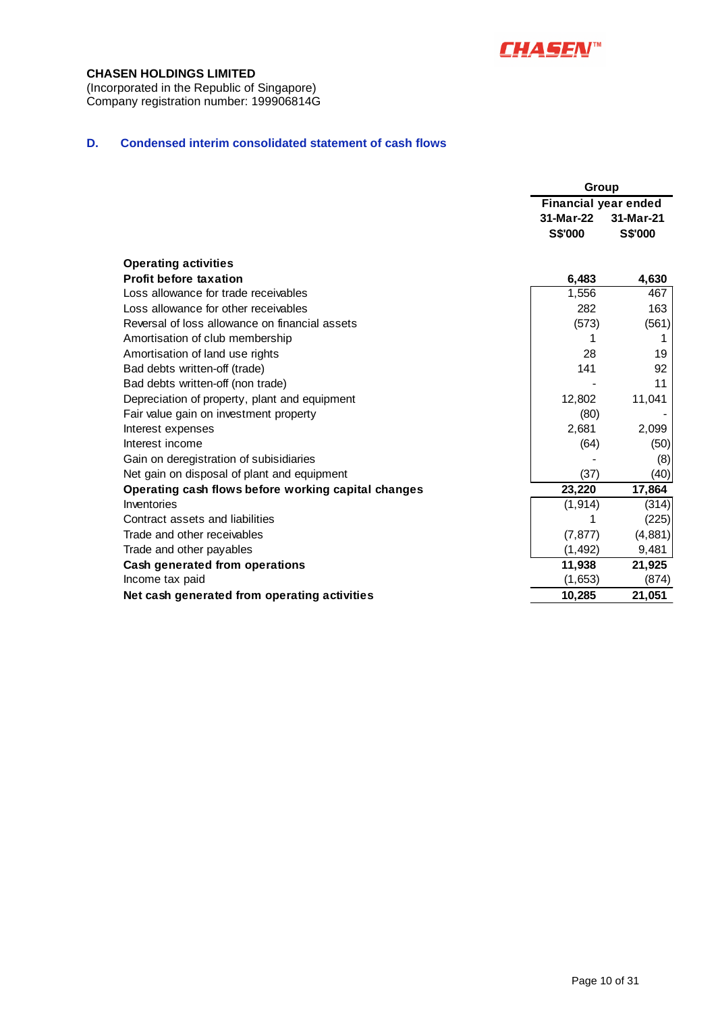

(Incorporated in the Republic of Singapore) Company registration number: 199906814G

### **D. Condensed interim consolidated statement of cash flows**

|                                                     | <b>Group</b>                |                |
|-----------------------------------------------------|-----------------------------|----------------|
|                                                     | <b>Financial year ended</b> |                |
|                                                     | 31-Mar-22                   | 31-Mar-21      |
|                                                     | <b>S\$'000</b>              | <b>S\$'000</b> |
| <b>Operating activities</b>                         |                             |                |
| <b>Profit before taxation</b>                       | 6,483                       | 4,630          |
| Loss allowance for trade receivables                | 1,556                       | 467            |
| Loss allowance for other receivables                | 282                         | 163            |
| Reversal of loss allowance on financial assets      | (573)                       | (561)          |
| Amortisation of club membership                     |                             | 1              |
| Amortisation of land use rights                     | 28                          | 19             |
| Bad debts written-off (trade)                       | 141                         | 92             |
| Bad debts written-off (non trade)                   |                             | 11             |
| Depreciation of property, plant and equipment       | 12,802                      | 11,041         |
| Fair value gain on investment property              | (80)                        |                |
| Interest expenses                                   | 2,681                       | 2,099          |
| Interest income                                     | (64)                        | (50)           |
| Gain on deregistration of subisidiaries             |                             | (8)            |
| Net gain on disposal of plant and equipment         | (37)                        | (40)           |
| Operating cash flows before working capital changes | 23,220                      | 17,864         |
| Inventories                                         | (1, 914)                    | (314)          |
| Contract assets and liabilities                     |                             | (225)          |
| Trade and other receivables                         | (7, 877)                    | (4, 881)       |
| Trade and other payables                            | (1, 492)                    | 9,481          |
| Cash generated from operations                      | 11,938                      | 21,925         |
| Income tax paid                                     | (1,653)                     | (874)          |
| Net cash generated from operating activities        | 10,285                      | 21,051         |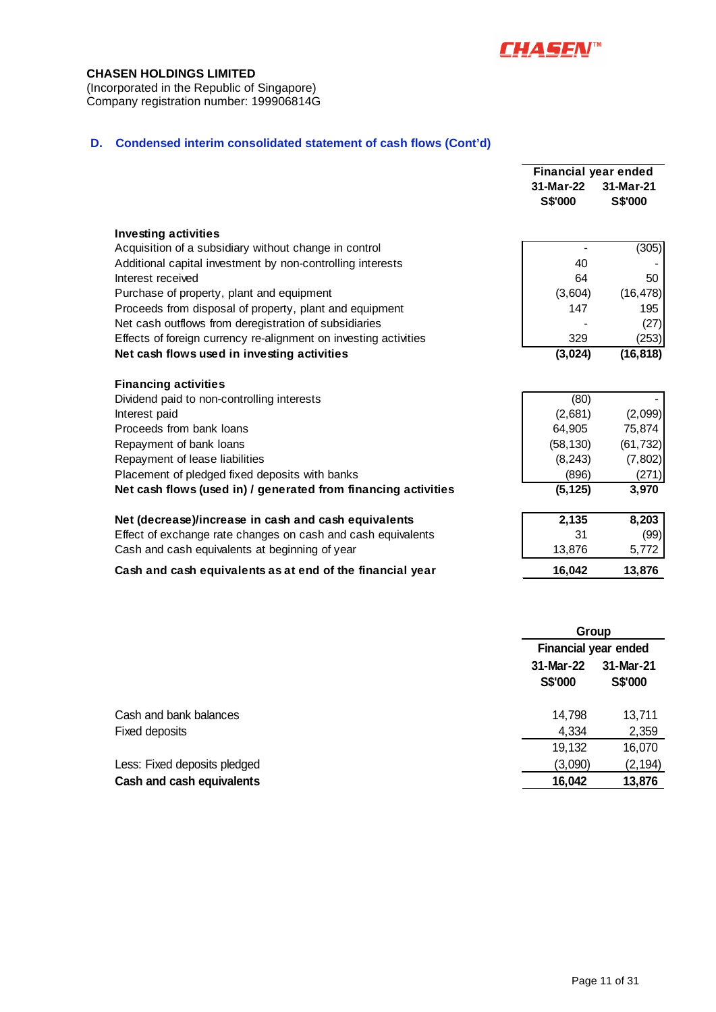

(Incorporated in the Republic of Singapore) Company registration number: 199906814G

### **D. Condensed interim consolidated statement of cash flows (Cont'd)**

|                                                                  | <b>Financial year ended</b>          |                             |  |
|------------------------------------------------------------------|--------------------------------------|-----------------------------|--|
|                                                                  | 31-Mar-22                            | 31-Mar-21                   |  |
|                                                                  | S\$'000                              | S\$'000                     |  |
| <b>Investing activities</b>                                      |                                      |                             |  |
| Acquisition of a subsidiary without change in control            |                                      | (305)                       |  |
| Additional capital investment by non-controlling interests       | 40                                   |                             |  |
| Interest received                                                | 64                                   | 50                          |  |
| Purchase of property, plant and equipment                        | (3,604)                              | (16, 478)                   |  |
| Proceeds from disposal of property, plant and equipment          | 147                                  | 195                         |  |
| Net cash outflows from deregistration of subsidiaries            |                                      | (27)                        |  |
| Effects of foreign currency re-alignment on investing activities | 329                                  | (253)                       |  |
| Net cash flows used in investing activities                      | (3,024)                              | (16, 818)                   |  |
| <b>Financing activities</b>                                      |                                      |                             |  |
| Dividend paid to non-controlling interests                       | (80)                                 |                             |  |
| Interest paid                                                    | (2,681)                              | (2,099)                     |  |
| Proceeds from bank loans                                         | 64,905                               | 75,874                      |  |
| Repayment of bank loans                                          | (58, 130)                            | (61, 732)                   |  |
| Repayment of lease liabilities                                   | (8, 243)                             | (7, 802)                    |  |
| Placement of pledged fixed deposits with banks                   | (896)                                | (271)                       |  |
| Net cash flows (used in) / generated from financing activities   | (5, 125)                             | 3,970                       |  |
| Net (decrease)/increase in cash and cash equivalents             | 2,135                                | 8,203                       |  |
| Effect of exchange rate changes on cash and cash equivalents     | 31                                   | (99)                        |  |
| Cash and cash equivalents at beginning of year                   | 13,876                               | 5,772                       |  |
| Cash and cash equivalents as at end of the financial year        | 16,042                               | 13,876                      |  |
|                                                                  |                                      |                             |  |
|                                                                  | Group<br><b>Financial year ended</b> |                             |  |
|                                                                  |                                      |                             |  |
|                                                                  | 31-Mar-22<br><b>S\$'000</b>          | 31-Mar-21<br><b>S\$'000</b> |  |

| Cash and cash equivalents    | 16,042  | 13,876   |
|------------------------------|---------|----------|
| Less: Fixed deposits pledged | (3,090) | (2, 194) |
|                              | 19.132  | 16,070   |
| Fixed deposits               | 4.334   | 2,359    |
| Cash and bank balances       | 14.798  | 13,711   |
|                              |         |          |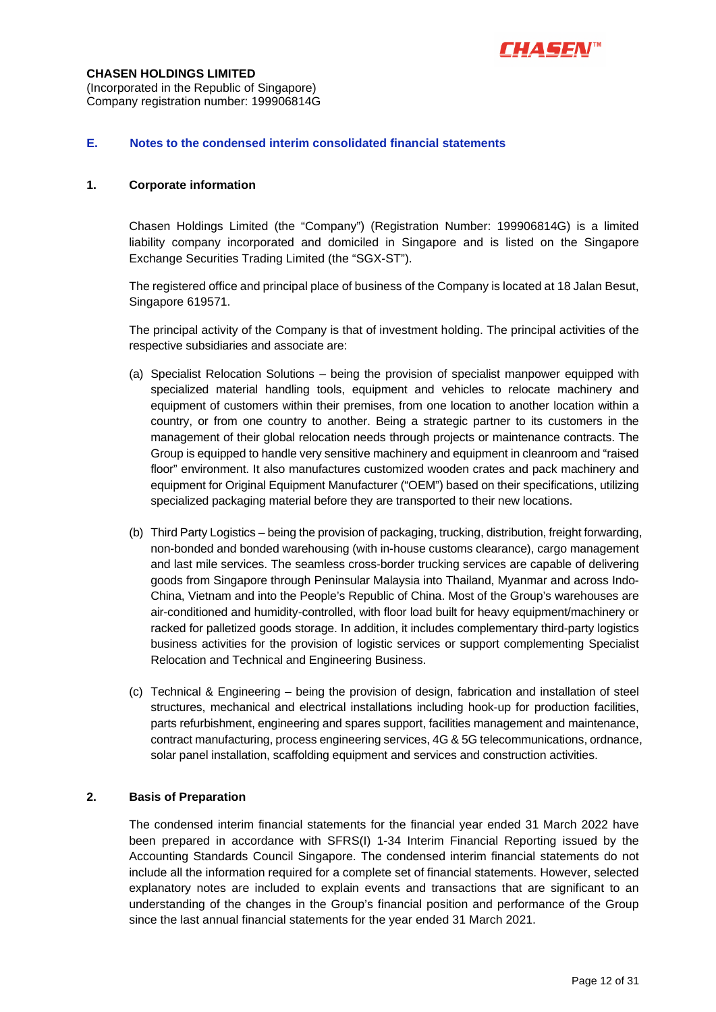

(Incorporated in the Republic of Singapore) Company registration number: 199906814G

### **E. Notes to the condensed interim consolidated financial statements**

### **1. Corporate information**

Chasen Holdings Limited (the "Company") (Registration Number: 199906814G) is a limited liability company incorporated and domiciled in Singapore and is listed on the Singapore Exchange Securities Trading Limited (the "SGX-ST").

The registered office and principal place of business of the Company is located at 18 Jalan Besut, Singapore 619571.

The principal activity of the Company is that of investment holding. The principal activities of the respective subsidiaries and associate are:

- (a) Specialist Relocation Solutions being the provision of specialist manpower equipped with specialized material handling tools, equipment and vehicles to relocate machinery and equipment of customers within their premises, from one location to another location within a country, or from one country to another. Being a strategic partner to its customers in the management of their global relocation needs through projects or maintenance contracts. The Group is equipped to handle very sensitive machinery and equipment in cleanroom and "raised floor" environment. It also manufactures customized wooden crates and pack machinery and equipment for Original Equipment Manufacturer ("OEM") based on their specifications, utilizing specialized packaging material before they are transported to their new locations.
- (b) Third Party Logistics being the provision of packaging, trucking, distribution, freight forwarding, non-bonded and bonded warehousing (with in-house customs clearance), cargo management and last mile services. The seamless cross-border trucking services are capable of delivering goods from Singapore through Peninsular Malaysia into Thailand, Myanmar and across Indo-China, Vietnam and into the People's Republic of China. Most of the Group's warehouses are air-conditioned and humidity-controlled, with floor load built for heavy equipment/machinery or racked for palletized goods storage. In addition, it includes complementary third-party logistics business activities for the provision of logistic services or support complementing Specialist Relocation and Technical and Engineering Business.
- (c) Technical & Engineering being the provision of design, fabrication and installation of steel structures, mechanical and electrical installations including hook-up for production facilities, parts refurbishment, engineering and spares support, facilities management and maintenance, contract manufacturing, process engineering services, 4G & 5G telecommunications, ordnance, solar panel installation, scaffolding equipment and services and construction activities.

### **2. Basis of Preparation**

The condensed interim financial statements for the financial year ended 31 March 2022 have been prepared in accordance with SFRS(I) 1-34 Interim Financial Reporting issued by the Accounting Standards Council Singapore. The condensed interim financial statements do not include all the information required for a complete set of financial statements. However, selected explanatory notes are included to explain events and transactions that are significant to an understanding of the changes in the Group's financial position and performance of the Group since the last annual financial statements for the year ended 31 March 2021.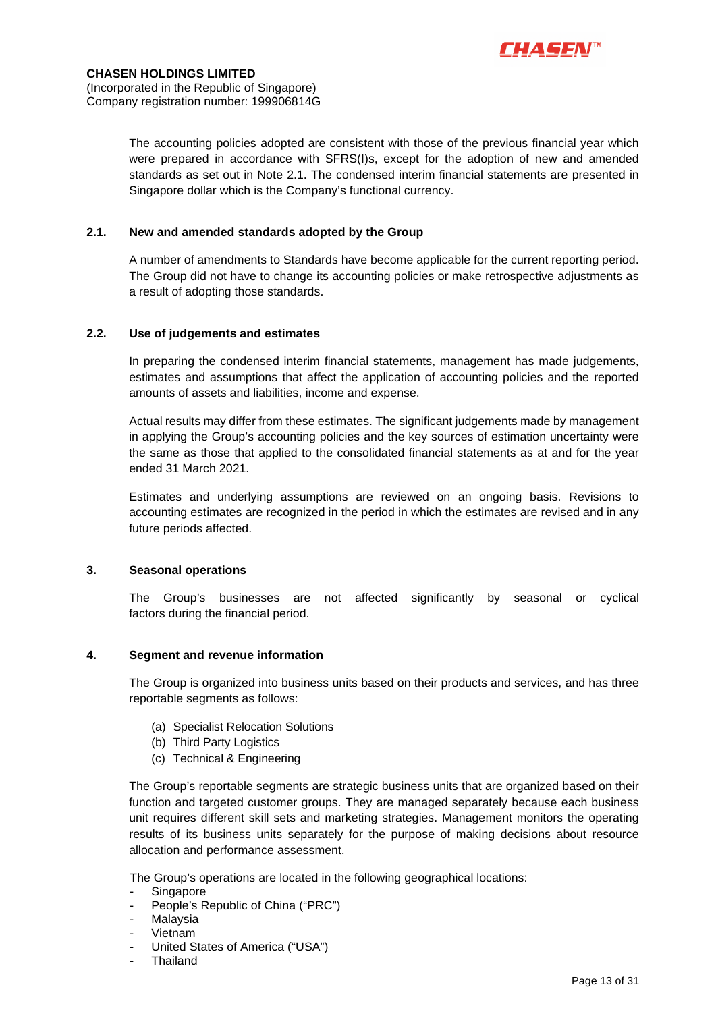

The accounting policies adopted are consistent with those of the previous financial year which were prepared in accordance with SFRS(I)s, except for the adoption of new and amended standards as set out in Note 2.1. The condensed interim financial statements are presented in Singapore dollar which is the Company's functional currency.

### **2.1. New and amended standards adopted by the Group**

A number of amendments to Standards have become applicable for the current reporting period. The Group did not have to change its accounting policies or make retrospective adjustments as a result of adopting those standards.

### **2.2. Use of judgements and estimates**

In preparing the condensed interim financial statements, management has made judgements, estimates and assumptions that affect the application of accounting policies and the reported amounts of assets and liabilities, income and expense.

Actual results may differ from these estimates. The significant judgements made by management in applying the Group's accounting policies and the key sources of estimation uncertainty were the same as those that applied to the consolidated financial statements as at and for the year ended 31 March 2021.

Estimates and underlying assumptions are reviewed on an ongoing basis. Revisions to accounting estimates are recognized in the period in which the estimates are revised and in any future periods affected.

#### **3. Seasonal operations**

The Group's businesses are not affected significantly by seasonal or cyclical factors during the financial period.

### **4. Segment and revenue information**

The Group is organized into business units based on their products and services, and has three reportable segments as follows:

- (a) Specialist Relocation Solutions
- (b) Third Party Logistics
- (c) Technical & Engineering

The Group's reportable segments are strategic business units that are organized based on their function and targeted customer groups. They are managed separately because each business unit requires different skill sets and marketing strategies. Management monitors the operating results of its business units separately for the purpose of making decisions about resource allocation and performance assessment.

The Group's operations are located in the following geographical locations:

- **Singapore**
- People's Republic of China ("PRC")
- **Malaysia**
- Vietnam
- United States of America ("USA")
- Thailand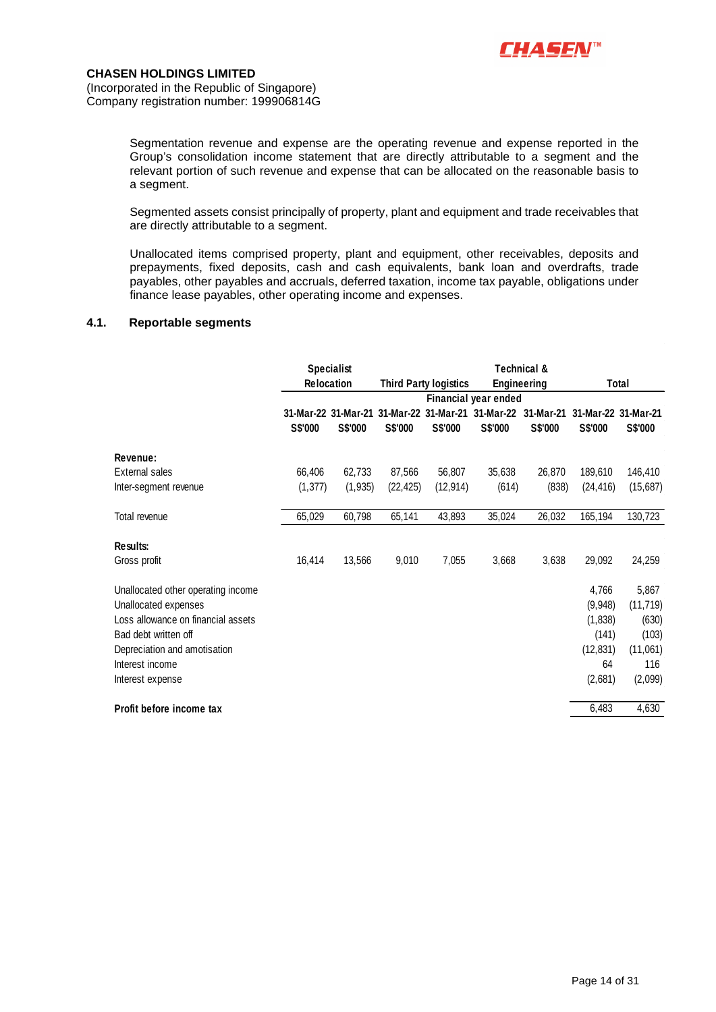

Segmentation revenue and expense are the operating revenue and expense reported in the Group's consolidation income statement that are directly attributable to a segment and the relevant portion of such revenue and expense that can be allocated on the reasonable basis to a segment.

Segmented assets consist principally of property, plant and equipment and trade receivables that are directly attributable to a segment.

Unallocated items comprised property, plant and equipment, other receivables, deposits and prepayments, fixed deposits, cash and cash equivalents, bank loan and overdrafts, trade payables, other payables and accruals, deferred taxation, income tax payable, obligations under finance lease payables, other operating income and expenses.

### **4.1. Reportable segments**

|                                    |                   | <b>Specialist</b>   |           |                              |                               | Technical &    |                     |           |
|------------------------------------|-------------------|---------------------|-----------|------------------------------|-------------------------------|----------------|---------------------|-----------|
|                                    | <b>Relocation</b> |                     |           | <b>Third Party logistics</b> | <b>Engineering</b>            | Total          |                     |           |
|                                    |                   |                     |           |                              | Financial year ended          |                |                     |           |
|                                    |                   | 31-Mar-22 31-Mar-21 |           |                              | 31-Mar-22 31-Mar-21 31-Mar-22 | 31-Mar-21      | 31-Mar-22 31-Mar-21 |           |
|                                    | <b>S\$'000</b>    | S\$'000             | S\$'000   | <b>S\$'000</b>               | S\$'000                       | <b>S\$'000</b> | S\$'000             | S\$'000   |
| Revenue:                           |                   |                     |           |                              |                               |                |                     |           |
| <b>External sales</b>              | 66,406            | 62,733              | 87,566    | 56,807                       | 35,638                        | 26,870         | 189,610             | 146,410   |
| Inter-segment revenue              | (1, 377)          | (1, 935)            | (22, 425) | (12, 914)                    | (614)                         | (838)          | (24, 416)           | (15,687)  |
| Total revenue                      | 65,029            | 60,798              | 65,141    | 43,893                       | 35,024                        | 26,032         | 165,194             | 130,723   |
| Results:                           |                   |                     |           |                              |                               |                |                     |           |
| Gross profit                       | 16,414            | 13,566              | 9,010     | 7,055                        | 3,668                         | 3,638          | 29,092              | 24,259    |
| Unallocated other operating income |                   |                     |           |                              |                               |                | 4,766               | 5,867     |
| Unallocated expenses               |                   |                     |           |                              |                               |                | (9,948)             | (11, 719) |
| Loss allowance on financial assets |                   |                     |           |                              |                               |                | (1,838)             | (630)     |
| Bad debt written off               |                   |                     |           |                              |                               |                | (141)               | (103)     |
| Depreciation and amotisation       |                   |                     |           |                              |                               |                | (12, 831)           | (11,061)  |
| Interest income                    |                   |                     |           |                              |                               |                | 64                  | 116       |
| Interest expense                   |                   |                     |           |                              |                               |                | (2,681)             | (2,099)   |
| Profit before income tax           |                   |                     |           |                              |                               |                | 6,483               | 4,630     |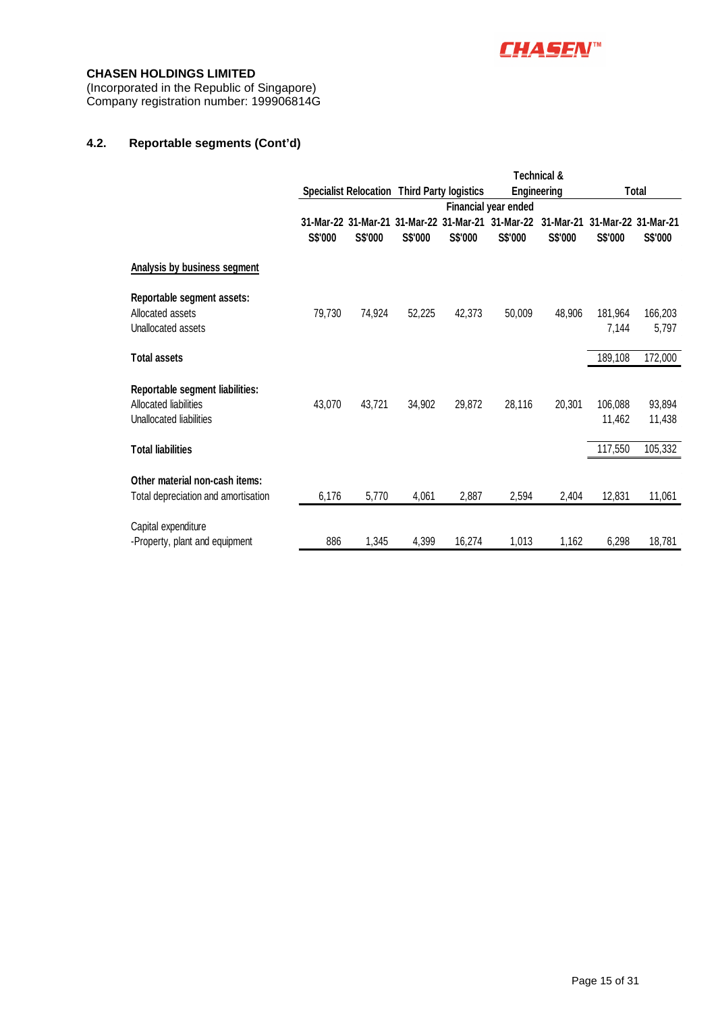

(Incorporated in the Republic of Singapore) Company registration number: 199906814G

### **4.2. Reportable segments (Cont'd)**

|                                     |         |                                                    |         |         |                               | <b>Technical &amp;</b> |         |                     |
|-------------------------------------|---------|----------------------------------------------------|---------|---------|-------------------------------|------------------------|---------|---------------------|
|                                     |         | <b>Specialist Relocation Third Party logistics</b> |         |         |                               | Engineering            |         | Total               |
|                                     |         |                                                    |         |         | <b>Financial year ended</b>   |                        |         |                     |
|                                     |         | 31-Mar-22 31-Mar-21                                |         |         | 31-Mar-22 31-Mar-21 31-Mar-22 | 31-Mar-21              |         | 31-Mar-22 31-Mar-21 |
|                                     | S\$'000 | S\$'000                                            | S\$'000 | S\$'000 | S\$'000                       | S\$'000                | S\$'000 | S\$'000             |
| Analysis by business segment        |         |                                                    |         |         |                               |                        |         |                     |
| Reportable segment assets:          |         |                                                    |         |         |                               |                        |         |                     |
| Allocated assets                    | 79,730  | 74,924                                             | 52,225  | 42,373  | 50,009                        | 48,906                 | 181.964 | 166,203             |
| Unallocated assets                  |         |                                                    |         |         |                               |                        | 7,144   | 5,797               |
| <b>Total assets</b>                 |         |                                                    |         |         |                               |                        | 189,108 | 172,000             |
| Reportable segment liabilities:     |         |                                                    |         |         |                               |                        |         |                     |
| Allocated liabilities               | 43,070  | 43,721                                             | 34,902  | 29,872  | 28,116                        | 20,301                 | 106,088 | 93,894              |
| Unallocated liabilities             |         |                                                    |         |         |                               |                        | 11,462  | 11,438              |
| <b>Total liabilities</b>            |         |                                                    |         |         |                               |                        | 117,550 | 105,332             |
| Other material non-cash items:      |         |                                                    |         |         |                               |                        |         |                     |
|                                     |         |                                                    |         |         |                               |                        |         |                     |
| Total depreciation and amortisation | 6,176   | 5,770                                              | 4,061   | 2,887   | 2,594                         | 2,404                  | 12,831  | 11,061              |
| Capital expenditure                 |         |                                                    |         |         |                               |                        |         |                     |
| -Property, plant and equipment      | 886     | 1,345                                              | 4,399   | 16,274  | 1,013                         | 1,162                  | 6,298   | 18,781              |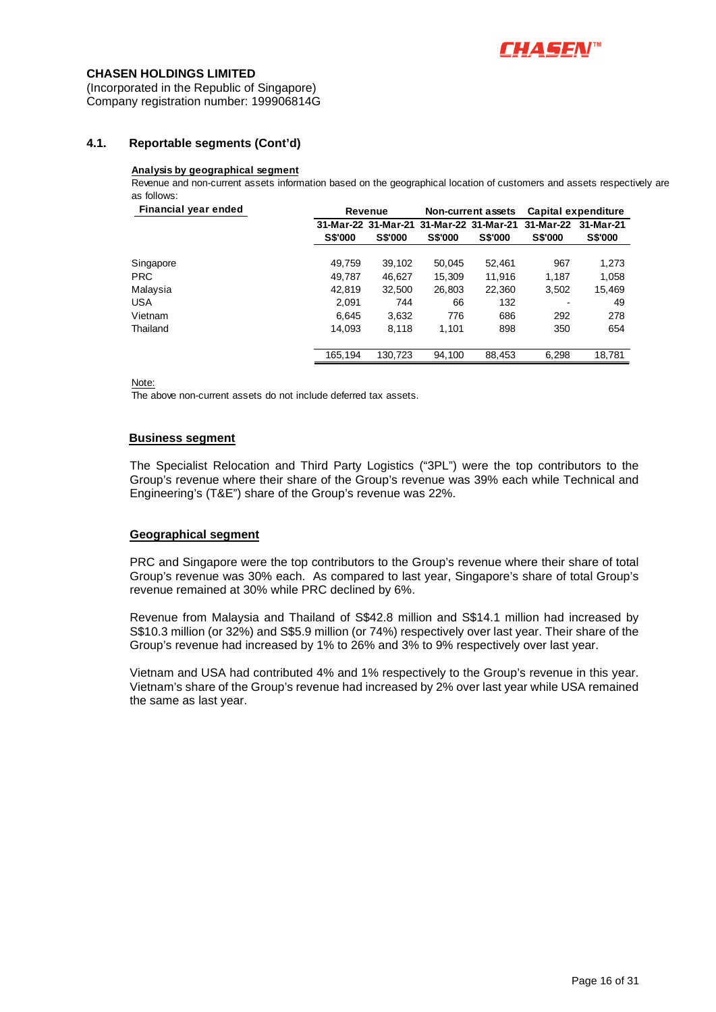

(Incorporated in the Republic of Singapore) Company registration number: 199906814G

### **4.1. Reportable segments (Cont'd)**

#### **Analysis by geographical segment**

Revenue and non-current assets information based on the geographical location of customers and assets respectively are as follows:

| Financial year ended |                | Revenue        |                | <b>Non-current assets</b>               | Capital expenditure |                |
|----------------------|----------------|----------------|----------------|-----------------------------------------|---------------------|----------------|
|                      |                |                |                | 31-Mar-22 31-Mar-21 31-Mar-22 31-Mar-21 | 31-Mar-22           | 31-Mar-21      |
|                      | <b>S\$'000</b> | <b>S\$'000</b> | <b>S\$'000</b> | <b>S\$'000</b>                          | <b>S\$'000</b>      | <b>S\$'000</b> |
| Singapore            | 49.759         | 39.102         | 50,045         | 52.461                                  | 967                 | 1,273          |
| PRC.                 | 49,787         | 46.627         | 15,309         | 11.916                                  | 1.187               | 1,058          |
| Malaysia             | 42.819         | 32,500         | 26,803         | 22,360                                  | 3,502               | 15,469         |
| USA                  | 2,091          | 744            | 66             | 132                                     |                     | 49             |
| Vietnam              | 6,645          | 3,632          | 776            | 686                                     | 292                 | 278            |
| Thailand             | 14.093         | 8.118          | 1.101          | 898                                     | 350                 | 654            |
|                      | 165.194        | 130.723        | 94,100         | 88,453                                  | 6,298               | 18,781         |

Note:

The above non-current assets do not include deferred tax assets.

#### **Business segment**

The Specialist Relocation and Third Party Logistics ("3PL") were the top contributors to the Group's revenue where their share of the Group's revenue was 39% each while Technical and Engineering's (T&E") share of the Group's revenue was 22%.

#### **Geographical segment**

PRC and Singapore were the top contributors to the Group's revenue where their share of total Group's revenue was 30% each. As compared to last year, Singapore's share of total Group's revenue remained at 30% while PRC declined by 6%.

Revenue from Malaysia and Thailand of S\$42.8 million and S\$14.1 million had increased by S\$10.3 million (or 32%) and S\$5.9 million (or 74%) respectively over last year. Their share of the Group's revenue had increased by 1% to 26% and 3% to 9% respectively over last year.

Vietnam and USA had contributed 4% and 1% respectively to the Group's revenue in this year. Vietnam's share of the Group's revenue had increased by 2% over last year while USA remained the same as last year.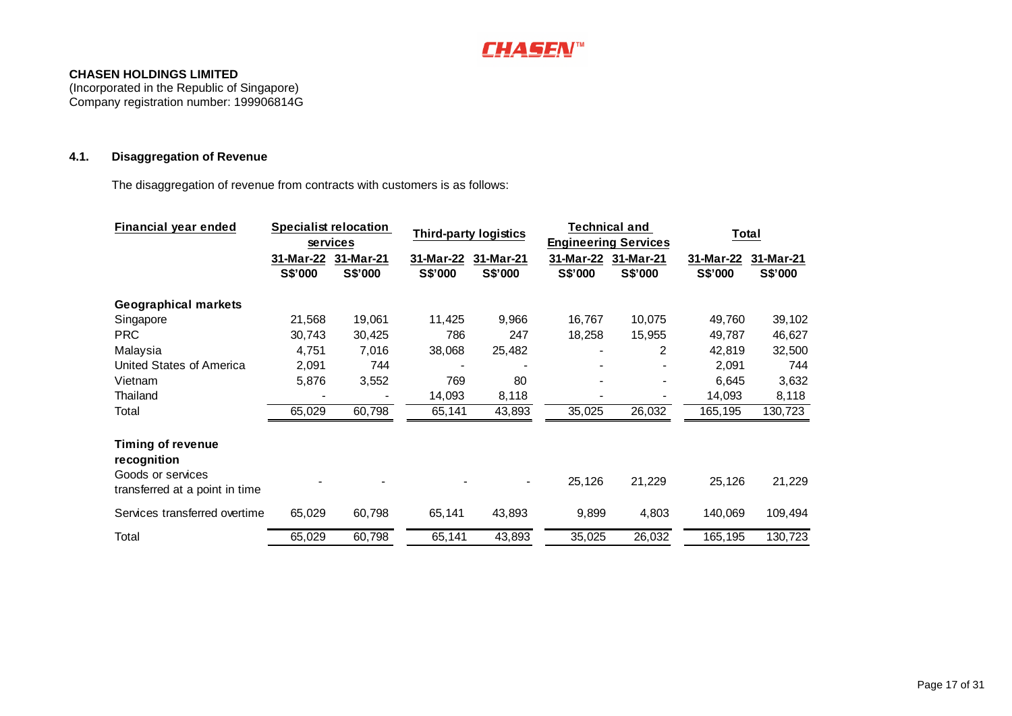

(Incorporated in the Republic of Singapore) Company registration number: 199906814G

### **4.1. Disaggregation of Revenue**

The disaggregation of revenue from contracts with customers is as follows:

| Financial year ended                                                                           |                      | <b>Specialist relocation</b><br>services | <b>Third-party logistics</b> |                      | <b>Technical and</b><br><b>Engineering Services</b> |                      | Total                |                      |
|------------------------------------------------------------------------------------------------|----------------------|------------------------------------------|------------------------------|----------------------|-----------------------------------------------------|----------------------|----------------------|----------------------|
|                                                                                                | 31-Mar-22<br>S\$'000 | 31-Mar-21<br>S\$'000                     | 31-Mar-22<br>S\$'000         | 31-Mar-21<br>S\$'000 | 31-Mar-22<br>S\$'000                                | 31-Mar-21<br>S\$'000 | 31-Mar-22<br>S\$'000 | 31-Mar-21<br>S\$'000 |
| <b>Geographical markets</b>                                                                    |                      |                                          |                              |                      |                                                     |                      |                      |                      |
| Singapore                                                                                      | 21,568               | 19,061                                   | 11,425                       | 9,966                | 16,767                                              | 10,075               | 49,760               | 39,102               |
| <b>PRC</b>                                                                                     | 30,743               | 30,425                                   | 786                          | 247                  | 18,258                                              | 15,955               | 49,787               | 46,627               |
| Malaysia                                                                                       | 4,751                | 7,016                                    | 38,068                       | 25,482               |                                                     | 2                    | 42,819               | 32,500               |
| United States of America                                                                       | 2,091                | 744                                      |                              |                      |                                                     |                      | 2,091                | 744                  |
| Vietnam                                                                                        | 5,876                | 3,552                                    | 769                          | 80                   |                                                     |                      | 6,645                | 3,632                |
| Thailand                                                                                       |                      |                                          | 14,093                       | 8,118                |                                                     |                      | 14,093               | 8,118                |
| Total                                                                                          | 65,029               | 60,798                                   | 65,141                       | 43,893               | 35,025                                              | 26,032               | 165,195              | 130,723              |
| <b>Timing of revenue</b><br>recognition<br>Goods or services<br>transferred at a point in time |                      |                                          |                              |                      | 25,126                                              | 21,229               | 25,126               | 21,229               |
|                                                                                                |                      |                                          |                              |                      |                                                     |                      |                      |                      |
| Services transferred overtime                                                                  | 65,029               | 60,798                                   | 65,141                       | 43,893               | 9,899                                               | 4,803                | 140,069              | 109,494              |
| Total                                                                                          | 65,029               | 60,798                                   | 65,141                       | 43,893               | 35,025                                              | 26,032               | 165,195              | 130,723              |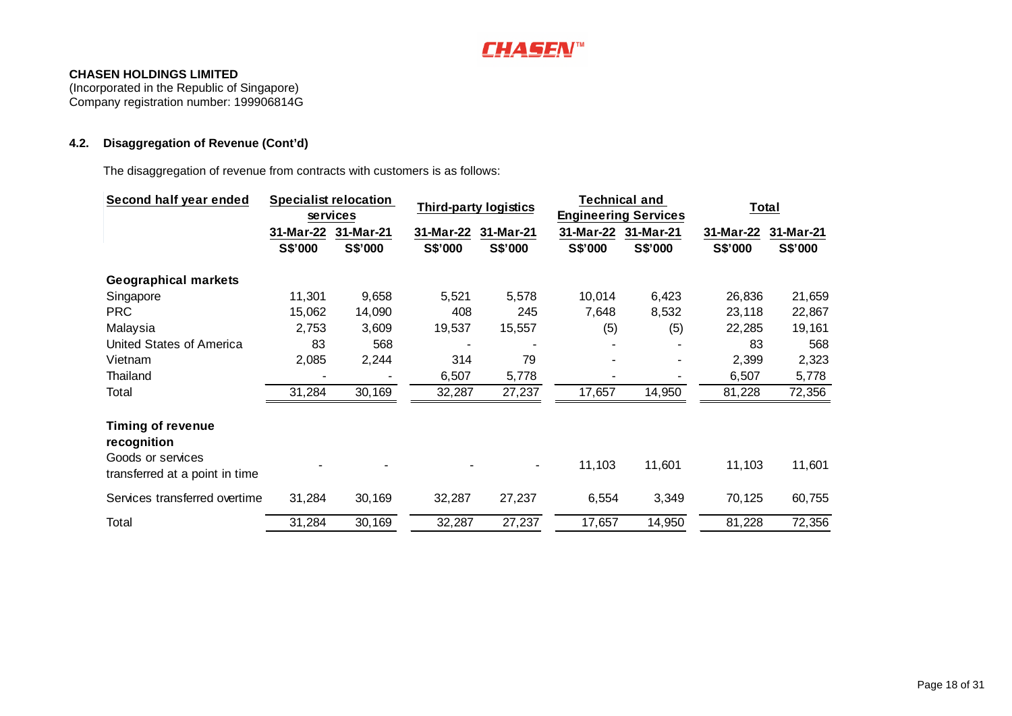

(Incorporated in the Republic of Singapore) Company registration number: 199906814G

# **4.2. Disaggregation of Revenue (Cont'd)**

The disaggregation of revenue from contracts with customers is as follows:

| Third-party logistics<br><b>Engineering Services</b><br>services<br>31-Mar-22<br>31-Mar-21<br>31-Mar-22<br>31-Mar-21<br>31-Mar-22<br>31-Mar-21<br>31-Mar-22<br>S\$'000<br>S\$'000<br>S\$'000<br>S\$'000<br>S\$'000<br>S\$'000<br>S\$'000<br><b>Geographical markets</b><br>10,014<br>11,301<br>9,658<br>5,521<br>5,578<br>6,423<br>26,836<br>Singapore | Total<br>31-Mar-21<br>S\$'000 |
|--------------------------------------------------------------------------------------------------------------------------------------------------------------------------------------------------------------------------------------------------------------------------------------------------------------------------------------------------------|-------------------------------|
|                                                                                                                                                                                                                                                                                                                                                        |                               |
|                                                                                                                                                                                                                                                                                                                                                        |                               |
|                                                                                                                                                                                                                                                                                                                                                        |                               |
|                                                                                                                                                                                                                                                                                                                                                        |                               |
|                                                                                                                                                                                                                                                                                                                                                        | 21,659                        |
| <b>PRC</b><br>15,062<br>14,090<br>408<br>245<br>7,648<br>8,532<br>23,118                                                                                                                                                                                                                                                                               | 22,867                        |
| Malaysia<br>2,753<br>3,609<br>19,537<br>15,557<br>(5)<br>(5)<br>22,285                                                                                                                                                                                                                                                                                 | 19,161                        |
| United States of America<br>83<br>568                                                                                                                                                                                                                                                                                                                  | 83<br>568                     |
| 2,085<br>2,244<br>314<br>79<br>Vietnam                                                                                                                                                                                                                                                                                                                 | 2,399<br>2,323                |
| Thailand<br>6,507<br>5,778<br>6,507                                                                                                                                                                                                                                                                                                                    | 5,778                         |
| 30,169<br>14,950<br>31,284<br>27,237<br>17,657<br>Total<br>32,287<br>81,228                                                                                                                                                                                                                                                                            | 72,356                        |
| <b>Timing of revenue</b><br>recognition<br>Goods or services                                                                                                                                                                                                                                                                                           |                               |
| 11,103<br>11,601<br>11,103<br>$\overline{\phantom{a}}$<br>transferred at a point in time                                                                                                                                                                                                                                                               | 11,601                        |
| Services transferred overtime<br>31,284<br>30,169<br>32,287<br>27,237<br>6,554<br>3,349<br>70,125                                                                                                                                                                                                                                                      | 60,755                        |
| 30,169<br>27,237<br>Total<br>31,284<br>32,287<br>17,657<br>14,950<br>81,228                                                                                                                                                                                                                                                                            | 72,356                        |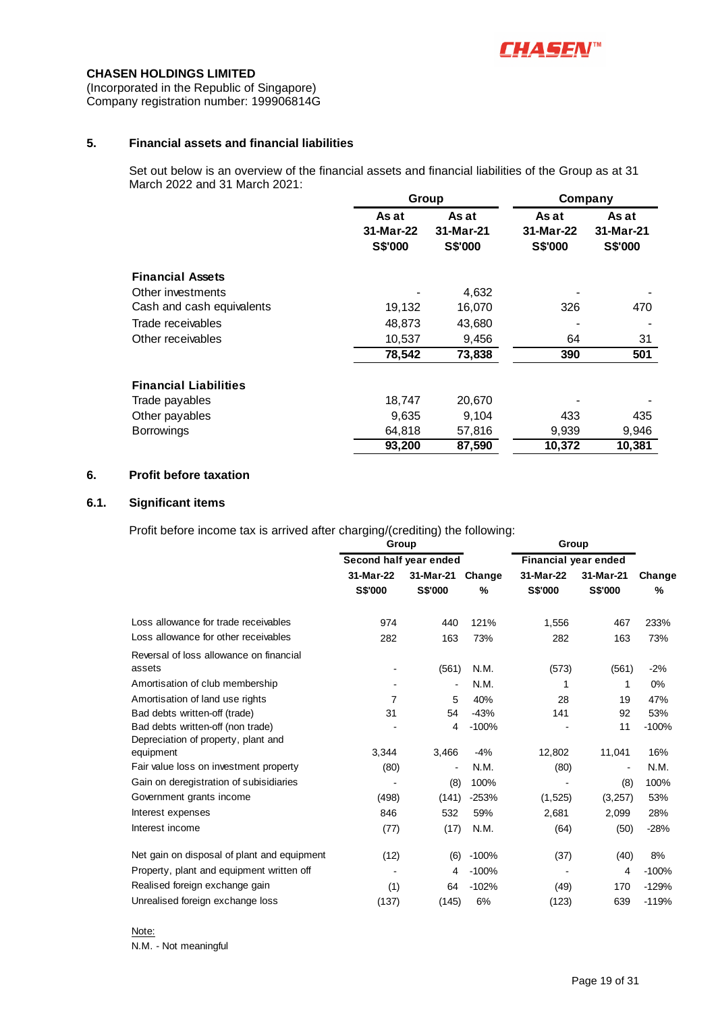

(Incorporated in the Republic of Singapore) Company registration number: 199906814G

### **5. Financial assets and financial liabilities**

Set out below is an overview of the financial assets and financial liabilities of the Group as at 31 March 2022 and 31 March 2021:

|                              | Group          |                | Company   |                |  |
|------------------------------|----------------|----------------|-----------|----------------|--|
|                              | As at          | As at          | As at     | As at          |  |
|                              | 31-Mar-22      | 31-Mar-21      | 31-Mar-22 | 31-Mar-21      |  |
|                              | <b>S\$'000</b> | <b>S\$'000</b> | S\$'000   | <b>S\$'000</b> |  |
| <b>Financial Assets</b>      |                |                |           |                |  |
| Other investments            |                | 4,632          |           |                |  |
| Cash and cash equivalents    | 19,132         | 16,070         | 326       | 470            |  |
| Trade receivables            | 48,873         | 43,680         |           |                |  |
| Other receivables            | 10,537         | 9,456          | 64        | 31             |  |
|                              | 78,542         | 73,838         | 390       | 501            |  |
| <b>Financial Liabilities</b> |                |                |           |                |  |
| Trade payables               | 18,747         | 20,670         |           |                |  |
| Other payables               | 9,635          | 9,104          | 433       | 435            |  |
| <b>Borrowings</b>            | 64,818         | 57,816         | 9,939     | 9,946          |  |
|                              | 93,200         | 87,590         | 10,372    | 10,381         |  |

### **6. Profit before taxation**

### **6.1. Significant items**

Profit before income tax is arrived after charging/(crediting) the following:

|                                             | Group                  |                |         | Group                |                              |         |  |
|---------------------------------------------|------------------------|----------------|---------|----------------------|------------------------------|---------|--|
|                                             | Second half year ended |                |         | Financial year ended |                              |         |  |
|                                             | 31-Mar-22              | 31-Mar-21      |         | 31-Mar-22            | 31-Mar-21                    | Change  |  |
|                                             | <b>S\$'000</b>         | S\$'000        | %       | <b>S\$'000</b>       | S\$'000                      | %       |  |
| Loss allowance for trade receivables        | 974                    | 440            | 121%    | 1,556                | 467                          | 233%    |  |
| Loss allowance for other receivables        | 282                    | 163            | 73%     | 282                  | 163                          | 73%     |  |
| Reversal of loss allowance on financial     |                        |                |         |                      |                              |         |  |
| assets                                      |                        | (561)          | N.M.    | (573)                | (561)                        | $-2%$   |  |
| Amortisation of club membership             |                        |                | N.M.    | 1                    | 1                            | 0%      |  |
| Amortisation of land use rights             | 7                      | 5              | 40%     | 28                   | 19                           | 47%     |  |
| Bad debts written-off (trade)               | 31                     | 54             | $-43%$  | 141                  | 92                           | 53%     |  |
| Bad debts written-off (non trade)           |                        | 4              | $-100%$ |                      | 11                           | $-100%$ |  |
| Depreciation of property, plant and         |                        |                |         |                      |                              |         |  |
| equipment                                   | 3,344                  | 3,466          | $-4%$   | 12,802               | 11,041                       | 16%     |  |
| Fair value loss on investment property      | (80)                   | $\blacksquare$ | N.M.    | (80)                 | $\qquad \qquad \blacksquare$ | N.M.    |  |
| Gain on deregistration of subisidiaries     |                        | (8)            | 100%    |                      | (8)                          | 100%    |  |
| Government grants income                    | (498)                  | (141)          | $-253%$ | (1,525)              | (3,257)                      | 53%     |  |
| Interest expenses                           | 846                    | 532            | 59%     | 2,681                | 2,099                        | 28%     |  |
| Interest income                             | (77)                   | (17)           | N.M.    | (64)                 | (50)                         | $-28%$  |  |
| Net gain on disposal of plant and equipment | (12)                   | (6)            | $-100%$ | (37)                 | (40)                         | 8%      |  |
| Property, plant and equipment written off   |                        | 4              | $-100%$ |                      | 4                            | $-100%$ |  |
| Realised foreign exchange gain              | (1)                    | 64             | $-102%$ | (49)                 | 170                          | $-129%$ |  |
| Unrealised foreign exchange loss            | (137)                  | (145)          | 6%      | (123)                | 639                          | $-119%$ |  |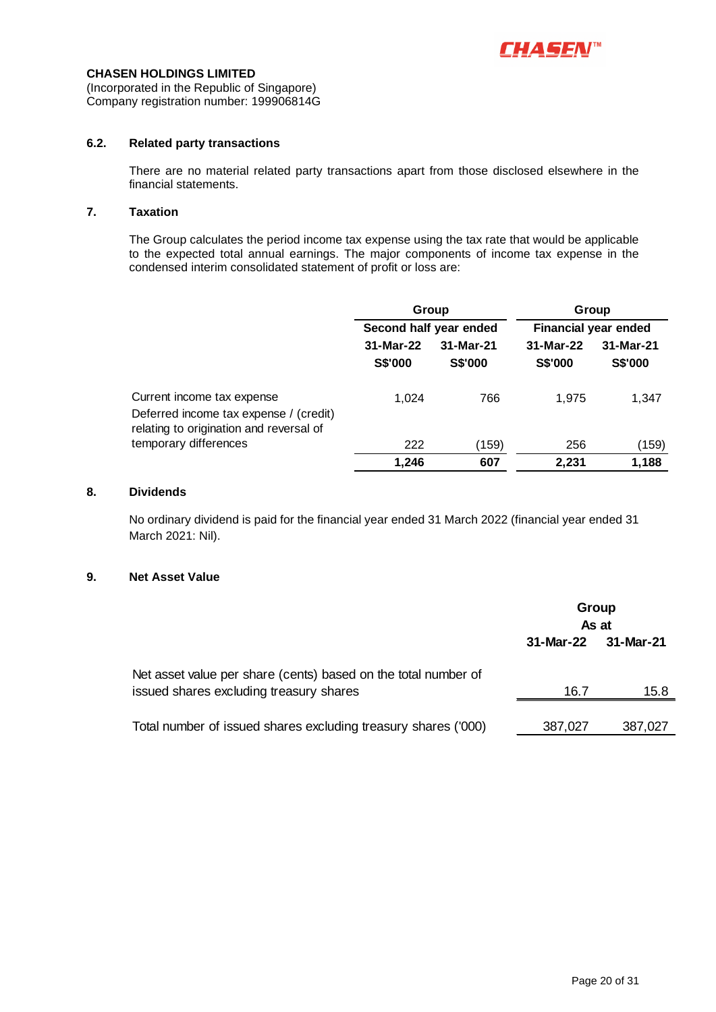

(Incorporated in the Republic of Singapore) Company registration number: 199906814G

### **6.2. Related party transactions**

There are no material related party transactions apart from those disclosed elsewhere in the financial statements.

### **7. Taxation**

The Group calculates the period income tax expense using the tax rate that would be applicable to the expected total annual earnings. The major components of income tax expense in the condensed interim consolidated statement of profit or loss are:

|                                                                                                                 |                             | Group                       | Group<br><b>Financial year ended</b> |                             |  |
|-----------------------------------------------------------------------------------------------------------------|-----------------------------|-----------------------------|--------------------------------------|-----------------------------|--|
|                                                                                                                 |                             | Second half year ended      |                                      |                             |  |
|                                                                                                                 | 31-Mar-22<br><b>S\$'000</b> | 31-Mar-21<br><b>S\$'000</b> | 31-Mar-22<br><b>S\$'000</b>          | 31-Mar-21<br><b>S\$'000</b> |  |
| Current income tax expense<br>Deferred income tax expense / (credit)<br>relating to origination and reversal of | 1.024                       | 766                         | 1.975                                | 1,347                       |  |
| temporary differences                                                                                           | 222                         | (159)                       | 256                                  | (159)                       |  |
|                                                                                                                 | 1.246                       | 607                         | 2.231                                | 1.188                       |  |

### **8. Dividends**

No ordinary dividend is paid for the financial year ended 31 March 2022 (financial year ended 31 March 2021: Nil).

#### **9. Net Asset Value**

|                                                                                                           | Group<br>As at |           |  |
|-----------------------------------------------------------------------------------------------------------|----------------|-----------|--|
|                                                                                                           | 31-Mar-22      | 31-Mar-21 |  |
| Net asset value per share (cents) based on the total number of<br>issued shares excluding treasury shares | 16.7           | 15.8      |  |
|                                                                                                           |                |           |  |
| Total number of issued shares excluding treasury shares ('000)                                            | 387,027        | 387,027   |  |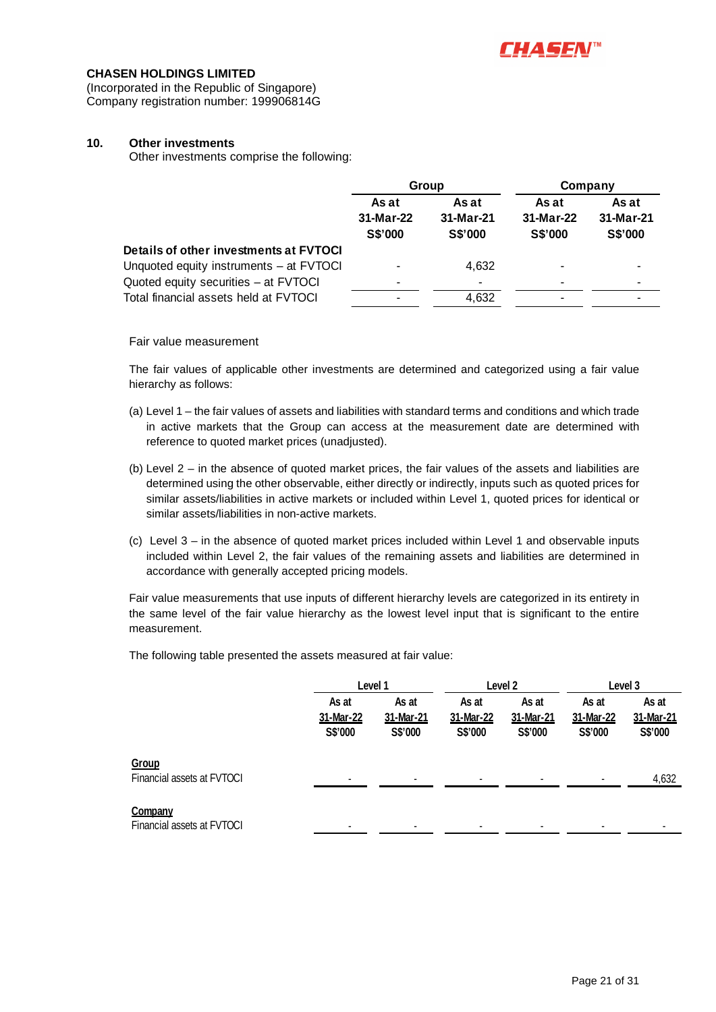

(Incorporated in the Republic of Singapore) Company registration number: 199906814G

### **10. Other investments**

Other investments comprise the following:

|                                         |                               | Group                         | Company                       |                               |  |
|-----------------------------------------|-------------------------------|-------------------------------|-------------------------------|-------------------------------|--|
|                                         | As at<br>31-Mar-22<br>S\$'000 | As at<br>31-Mar-21<br>S\$'000 | As at<br>31-Mar-22<br>S\$'000 | As at<br>31-Mar-21<br>S\$'000 |  |
| Details of other investments at FVTOCI  |                               |                               |                               |                               |  |
| Unquoted equity instruments - at FVTOCI |                               | 4,632                         | ۰.                            |                               |  |
| Quoted equity securities - at FVTOCI    | -                             | $\overline{\phantom{0}}$      | -                             |                               |  |
| Total financial assets held at FVTOCI   | -                             | 4,632                         | ۰.                            |                               |  |

Fair value measurement

The fair values of applicable other investments are determined and categorized using a fair value hierarchy as follows:

- (a) Level 1 the fair values of assets and liabilities with standard terms and conditions and which trade in active markets that the Group can access at the measurement date are determined with reference to quoted market prices (unadjusted).
- (b) Level 2 in the absence of quoted market prices, the fair values of the assets and liabilities are determined using the other observable, either directly or indirectly, inputs such as quoted prices for similar assets/liabilities in active markets or included within Level 1, quoted prices for identical or similar assets/liabilities in non-active markets.
- (c) Level 3 in the absence of quoted market prices included within Level 1 and observable inputs included within Level 2, the fair values of the remaining assets and liabilities are determined in accordance with generally accepted pricing models.

Fair value measurements that use inputs of different hierarchy levels are categorized in its entirety in the same level of the fair value hierarchy as the lowest level input that is significant to the entire measurement.

The following table presented the assets measured at fair value:

|                                       |                               | Level 1                       |                               | Level 2                       |                               | Level 3                       |  |
|---------------------------------------|-------------------------------|-------------------------------|-------------------------------|-------------------------------|-------------------------------|-------------------------------|--|
|                                       | As at<br>31-Mar-22<br>S\$'000 | As at<br>31-Mar-21<br>S\$'000 | As at<br>31-Mar-22<br>S\$'000 | As at<br>31-Mar-21<br>S\$'000 | As at<br>31-Mar-22<br>S\$'000 | As at<br>31-Mar-21<br>S\$'000 |  |
| Group<br>Financial assets at FVTOCI   |                               |                               |                               |                               | $\blacksquare$                | 4,632                         |  |
| Company<br>Financial assets at FVTOCI |                               |                               |                               |                               |                               | ۰                             |  |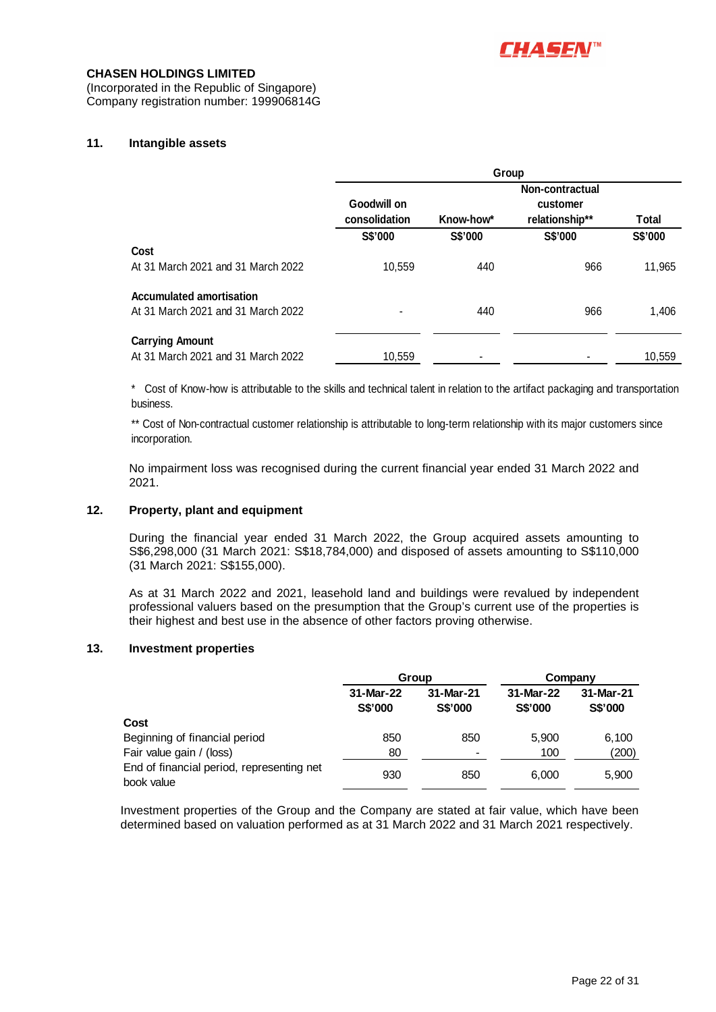

(Incorporated in the Republic of Singapore) Company registration number: 199906814G

### **11. Intangible assets**

|                                    | Group                        |           |                            |         |  |  |  |
|------------------------------------|------------------------------|-----------|----------------------------|---------|--|--|--|
|                                    |                              |           | Non-contractual            |         |  |  |  |
|                                    | Goodwill on<br>consolidation | Know-how* | customer<br>relationship** | Total   |  |  |  |
|                                    | S\$'000                      | S\$'000   | S\$'000                    | S\$'000 |  |  |  |
| Cost                               |                              |           |                            |         |  |  |  |
| At 31 March 2021 and 31 March 2022 | 10,559                       | 440       | 966                        | 11,965  |  |  |  |
| <b>Accumulated amortisation</b>    |                              |           |                            |         |  |  |  |
| At 31 March 2021 and 31 March 2022 |                              | 440       | 966                        | 1,406   |  |  |  |
| <b>Carrying Amount</b>             |                              |           |                            |         |  |  |  |
| At 31 March 2021 and 31 March 2022 | 10.559                       |           |                            | 10.559  |  |  |  |

\* Cost of Know-how is attributable to the skills and technical talent in relation to the artifact packaging and transportation business.

\*\* Cost of Non-contractual customer relationship is attributable to long-term relationship with its major customers since incorporation.

No impairment loss was recognised during the current financial year ended 31 March 2022 and 2021.

#### **12. Property, plant and equipment**

During the financial year ended 31 March 2022, the Group acquired assets amounting to S\$6,298,000 (31 March 2021: S\$18,784,000) and disposed of assets amounting to S\$110,000 (31 March 2021: S\$155,000).

As at 31 March 2022 and 2021, leasehold land and buildings were revalued by independent professional valuers based on the presumption that the Group's current use of the properties is their highest and best use in the absence of other factors proving otherwise.

#### **13. Investment properties**

|                                           |                      | Group                       | Company                     |                      |  |
|-------------------------------------------|----------------------|-----------------------------|-----------------------------|----------------------|--|
|                                           | 31-Mar-22<br>S\$'000 | 31-Mar-21<br><b>S\$'000</b> | 31-Mar-22<br><b>S\$'000</b> | 31-Mar-21<br>S\$'000 |  |
| Cost                                      |                      |                             |                             |                      |  |
| Beginning of financial period             | 850                  | 850                         | 5.900                       | 6,100                |  |
| Fair value gain / (loss)                  | 80                   | -                           | 100                         | (200)                |  |
| End of financial period, representing net | 930                  | 850                         | 6.000                       | 5,900                |  |
| book value                                |                      |                             |                             |                      |  |

Investment properties of the Group and the Company are stated at fair value, which have been determined based on valuation performed as at 31 March 2022 and 31 March 2021 respectively.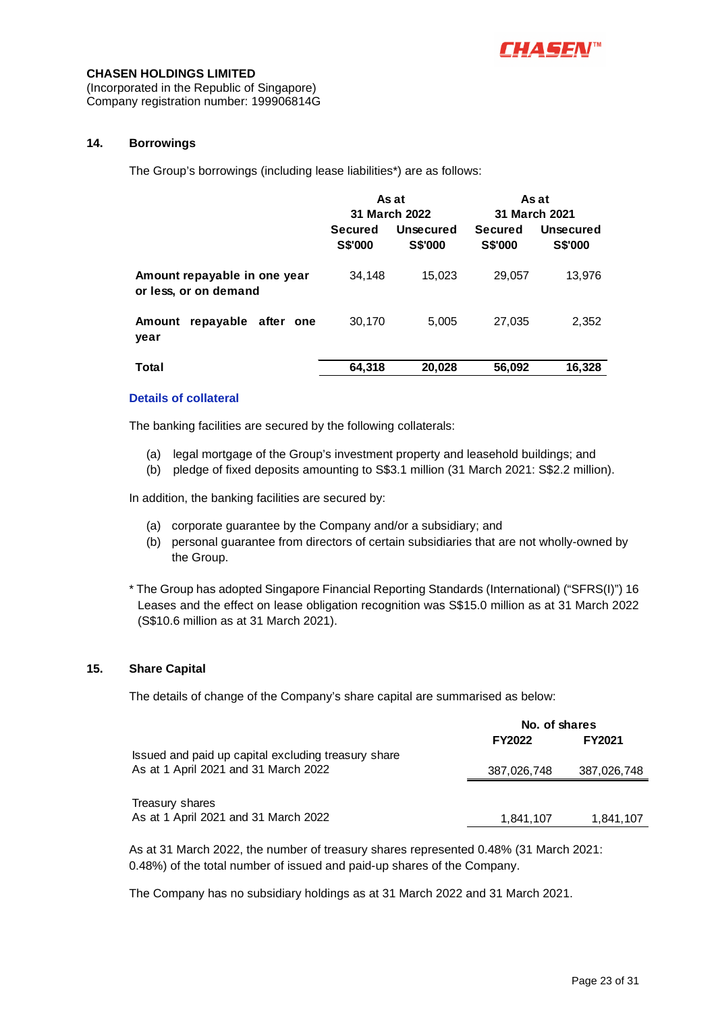

(Incorporated in the Republic of Singapore) Company registration number: 199906814G

### **14. Borrowings**

The Group's borrowings (including lease liabilities\*) are as follows:

|                                                       | As at                            |                             | As at                            |                             |  |
|-------------------------------------------------------|----------------------------------|-----------------------------|----------------------------------|-----------------------------|--|
|                                                       | 31 March 2022                    |                             | 31 March 2021                    |                             |  |
|                                                       | <b>Secured</b><br><b>S\$'000</b> | Unsecured<br><b>S\$'000</b> | <b>Secured</b><br><b>S\$'000</b> | Unsecured<br><b>S\$'000</b> |  |
| Amount repayable in one year<br>or less, or on demand | 34,148                           | 15,023                      | 29,057                           | 13,976                      |  |
| repayable<br>after one<br>Amount<br>year              | 30,170                           | 5,005                       | 27,035                           | 2,352                       |  |
| Total                                                 | 64,318                           | 20,028                      | 56,092                           | 16,328                      |  |

#### **Details of collateral**

The banking facilities are secured by the following collaterals:

- (a) legal mortgage of the Group's investment property and leasehold buildings; and
- (b) pledge of fixed deposits amounting to S\$3.1 million (31 March 2021: S\$2.2 million).

In addition, the banking facilities are secured by:

- (a) corporate guarantee by the Company and/or a subsidiary; and
- (b) personal guarantee from directors of certain subsidiaries that are not wholly-owned by the Group.

\* The Group has adopted Singapore Financial Reporting Standards (International) ("SFRS(I)") 16 Leases and the effect on lease obligation recognition was S\$15.0 million as at 31 March 2022 (S\$10.6 million as at 31 March 2021).

### **15. Share Capital**

The details of change of the Company's share capital are summarised as below:

|                                                     | No. of shares |               |  |
|-----------------------------------------------------|---------------|---------------|--|
|                                                     | <b>FY2022</b> | <b>FY2021</b> |  |
| Issued and paid up capital excluding treasury share |               |               |  |
| As at 1 April 2021 and 31 March 2022                | 387,026,748   | 387,026,748   |  |
|                                                     |               |               |  |
| Treasury shares                                     |               |               |  |
| As at 1 April 2021 and 31 March 2022                | 1,841,107     | 1,841,107     |  |

As at 31 March 2022, the number of treasury shares represented 0.48% (31 March 2021: 0.48%) of the total number of issued and paid-up shares of the Company.

The Company has no subsidiary holdings as at 31 March 2022 and 31 March 2021.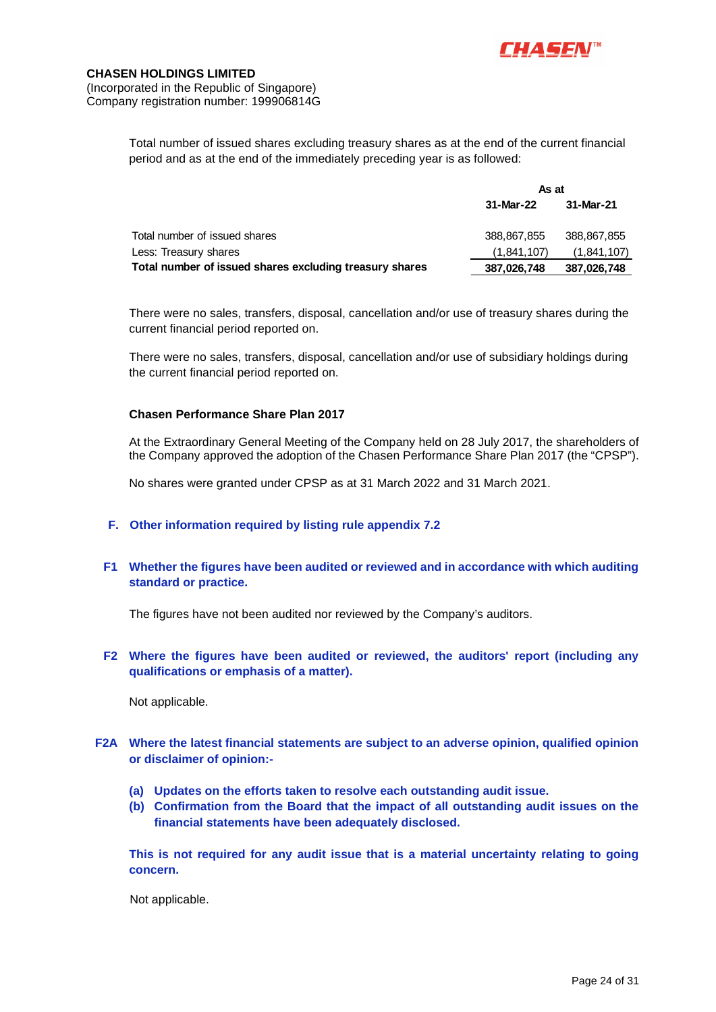

(Incorporated in the Republic of Singapore) Company registration number: 199906814G

> Total number of issued shares excluding treasury shares as at the end of the current financial period and as at the end of the immediately preceding year is as followed:

|                                                         | As at       |             |  |
|---------------------------------------------------------|-------------|-------------|--|
|                                                         | 31-Mar-22   | 31-Mar-21   |  |
| Total number of issued shares                           | 388,867,855 | 388,867,855 |  |
| Less: Treasury shares                                   | (1,841,107) | (1,841,107) |  |
| Total number of issued shares excluding treasury shares | 387,026,748 | 387,026,748 |  |

There were no sales, transfers, disposal, cancellation and/or use of treasury shares during the current financial period reported on.

There were no sales, transfers, disposal, cancellation and/or use of subsidiary holdings during the current financial period reported on.

### **Chasen Performance Share Plan 2017**

At the Extraordinary General Meeting of the Company held on 28 July 2017, the shareholders of the Company approved the adoption of the Chasen Performance Share Plan 2017 (the "CPSP").

No shares were granted under CPSP as at 31 March 2022 and 31 March 2021.

#### **F. Other information required by listing rule appendix 7.2**

**F1 Whether the figures have been audited or reviewed and in accordance with which auditing standard or practice.** 

The figures have not been audited nor reviewed by the Company's auditors.

### **F2 Where the figures have been audited or reviewed, the auditors' report (including any qualifications or emphasis of a matter).**

Not applicable.

### **F2A Where the latest financial statements are subject to an adverse opinion, qualified opinion or disclaimer of opinion:-**

- **(a) Updates on the efforts taken to resolve each outstanding audit issue.**
- **(b) Confirmation from the Board that the impact of all outstanding audit issues on the financial statements have been adequately disclosed.**

**This is not required for any audit issue that is a material uncertainty relating to going concern.** 

Not applicable.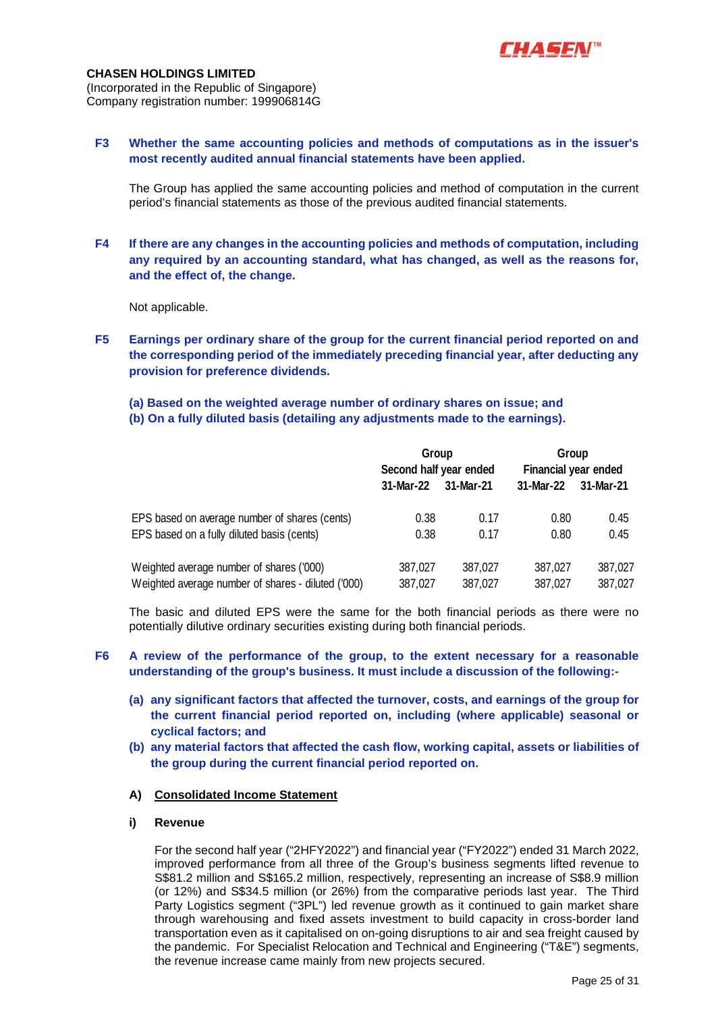

#### **CHASEN HOLDINGS LIMITED** (Incorporated in the Republic of Singapore)

Company registration number: 199906814G

### **F3 Whether the same accounting policies and methods of computations as in the issuer's most recently audited annual financial statements have been applied.**

The Group has applied the same accounting policies and method of computation in the current period's financial statements as those of the previous audited financial statements.

**F4 If there are any changes in the accounting policies and methods of computation, including any required by an accounting standard, what has changed, as well as the reasons for, and the effect of, the change.** 

Not applicable.

- **F5 Earnings per ordinary share of the group for the current financial period reported on and the corresponding period of the immediately preceding financial year, after deducting any provision for preference dividends.** 
	- **(a) Based on the weighted average number of ordinary shares on issue; and**
	- **(b) On a fully diluted basis (detailing any adjustments made to the earnings).**

|                                                    | Group<br>Second half year ended |           | Group<br><b>Financial year ended</b> |           |
|----------------------------------------------------|---------------------------------|-----------|--------------------------------------|-----------|
|                                                    |                                 |           |                                      |           |
|                                                    | 31-Mar-22                       | 31-Mar-21 | 31-Mar-22                            | 31-Mar-21 |
| EPS based on average number of shares (cents)      | 0.38                            | 0.17      | 0.80                                 | 0.45      |
| EPS based on a fully diluted basis (cents)         | 0.38                            | 0.17      | 0.80                                 | 0.45      |
| Weighted average number of shares ('000)           | 387,027                         | 387,027   | 387,027                              | 387,027   |
| Weighted average number of shares - diluted ('000) | 387,027                         | 387,027   | 387,027                              | 387,027   |

The basic and diluted EPS were the same for the both financial periods as there were no potentially dilutive ordinary securities existing during both financial periods.

### **F6 A review of the performance of the group, to the extent necessary for a reasonable understanding of the group's business. It must include a discussion of the following:-**

- **(a) any significant factors that affected the turnover, costs, and earnings of the group for the current financial period reported on, including (where applicable) seasonal or cyclical factors; and**
- **(b) any material factors that affected the cash flow, working capital, assets or liabilities of the group during the current financial period reported on.**

### **A) Consolidated Income Statement**

### **i) Revenue**

For the second half year ("2HFY2022") and financial year ("FY2022") ended 31 March 2022, improved performance from all three of the Group's business segments lifted revenue to S\$81.2 million and S\$165.2 million, respectively, representing an increase of S\$8.9 million (or 12%) and S\$34.5 million (or 26%) from the comparative periods last year. The Third Party Logistics segment ("3PL") led revenue growth as it continued to gain market share through warehousing and fixed assets investment to build capacity in cross-border land transportation even as it capitalised on on-going disruptions to air and sea freight caused by the pandemic. For Specialist Relocation and Technical and Engineering ("T&E") segments, the revenue increase came mainly from new projects secured.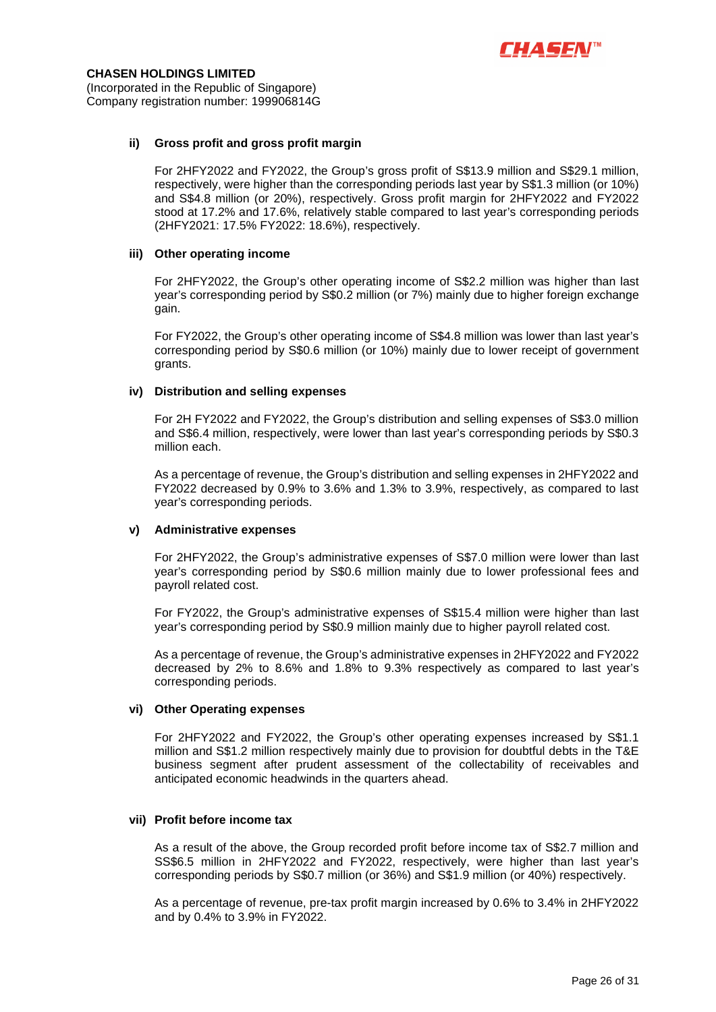

#### **ii) Gross profit and gross profit margin**

For 2HFY2022 and FY2022, the Group's gross profit of S\$13.9 million and S\$29.1 million, respectively, were higher than the corresponding periods last year by S\$1.3 million (or 10%) and S\$4.8 million (or 20%), respectively. Gross profit margin for 2HFY2022 and FY2022 stood at 17.2% and 17.6%, relatively stable compared to last year's corresponding periods (2HFY2021: 17.5% FY2022: 18.6%), respectively.

#### **iii) Other operating income**

For 2HFY2022, the Group's other operating income of S\$2.2 million was higher than last year's corresponding period by S\$0.2 million (or 7%) mainly due to higher foreign exchange gain.

For FY2022, the Group's other operating income of S\$4.8 million was lower than last year's corresponding period by S\$0.6 million (or 10%) mainly due to lower receipt of government grants.

#### **iv) Distribution and selling expenses**

For 2H FY2022 and FY2022, the Group's distribution and selling expenses of S\$3.0 million and S\$6.4 million, respectively, were lower than last year's corresponding periods by S\$0.3 million each.

As a percentage of revenue, the Group's distribution and selling expenses in 2HFY2022 and FY2022 decreased by 0.9% to 3.6% and 1.3% to 3.9%, respectively, as compared to last year's corresponding periods.

#### **v) Administrative expenses**

For 2HFY2022, the Group's administrative expenses of S\$7.0 million were lower than last year's corresponding period by S\$0.6 million mainly due to lower professional fees and payroll related cost.

For FY2022, the Group's administrative expenses of S\$15.4 million were higher than last year's corresponding period by S\$0.9 million mainly due to higher payroll related cost.

As a percentage of revenue, the Group's administrative expenses in 2HFY2022 and FY2022 decreased by 2% to 8.6% and 1.8% to 9.3% respectively as compared to last year's corresponding periods.

#### **vi) Other Operating expenses**

For 2HFY2022 and FY2022, the Group's other operating expenses increased by S\$1.1 million and S\$1.2 million respectively mainly due to provision for doubtful debts in the T&E business segment after prudent assessment of the collectability of receivables and anticipated economic headwinds in the quarters ahead.

#### **vii) Profit before income tax**

As a result of the above, the Group recorded profit before income tax of S\$2.7 million and SS\$6.5 million in 2HFY2022 and FY2022, respectively, were higher than last year's corresponding periods by S\$0.7 million (or 36%) and S\$1.9 million (or 40%) respectively.

As a percentage of revenue, pre-tax profit margin increased by 0.6% to 3.4% in 2HFY2022 and by 0.4% to 3.9% in FY2022.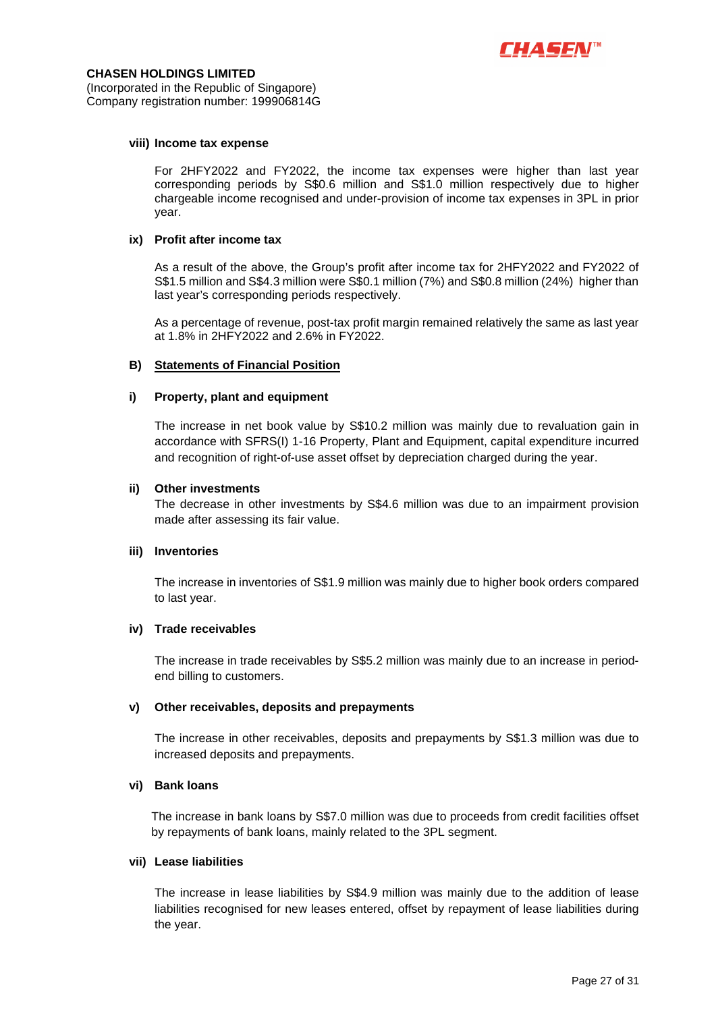

(Incorporated in the Republic of Singapore) Company registration number: 199906814G

#### **viii) Income tax expense**

For 2HFY2022 and FY2022, the income tax expenses were higher than last year corresponding periods by S\$0.6 million and S\$1.0 million respectively due to higher chargeable income recognised and under-provision of income tax expenses in 3PL in prior year.

#### **ix) Profit after income tax**

As a result of the above, the Group's profit after income tax for 2HFY2022 and FY2022 of S\$1.5 million and S\$4.3 million were S\$0.1 million (7%) and S\$0.8 million (24%) higher than last year's corresponding periods respectively.

As a percentage of revenue, post-tax profit margin remained relatively the same as last year at 1.8% in 2HFY2022 and 2.6% in FY2022.

#### **B) Statements of Financial Position**

#### **i) Property, plant and equipment**

The increase in net book value by S\$10.2 million was mainly due to revaluation gain in accordance with SFRS(I) 1-16 Property, Plant and Equipment, capital expenditure incurred and recognition of right-of-use asset offset by depreciation charged during the year.

#### **ii) Other investments**

The decrease in other investments by S\$4.6 million was due to an impairment provision made after assessing its fair value.

#### **iii) Inventories**

The increase in inventories of S\$1.9 million was mainly due to higher book orders compared to last year.

#### **iv) Trade receivables**

The increase in trade receivables by S\$5.2 million was mainly due to an increase in periodend billing to customers.

#### **v) Other receivables, deposits and prepayments**

The increase in other receivables, deposits and prepayments by S\$1.3 million was due to increased deposits and prepayments.

#### **vi) Bank loans**

The increase in bank loans by S\$7.0 million was due to proceeds from credit facilities offset by repayments of bank loans, mainly related to the 3PL segment.

#### **vii) Lease liabilities**

The increase in lease liabilities by S\$4.9 million was mainly due to the addition of lease liabilities recognised for new leases entered, offset by repayment of lease liabilities during the year.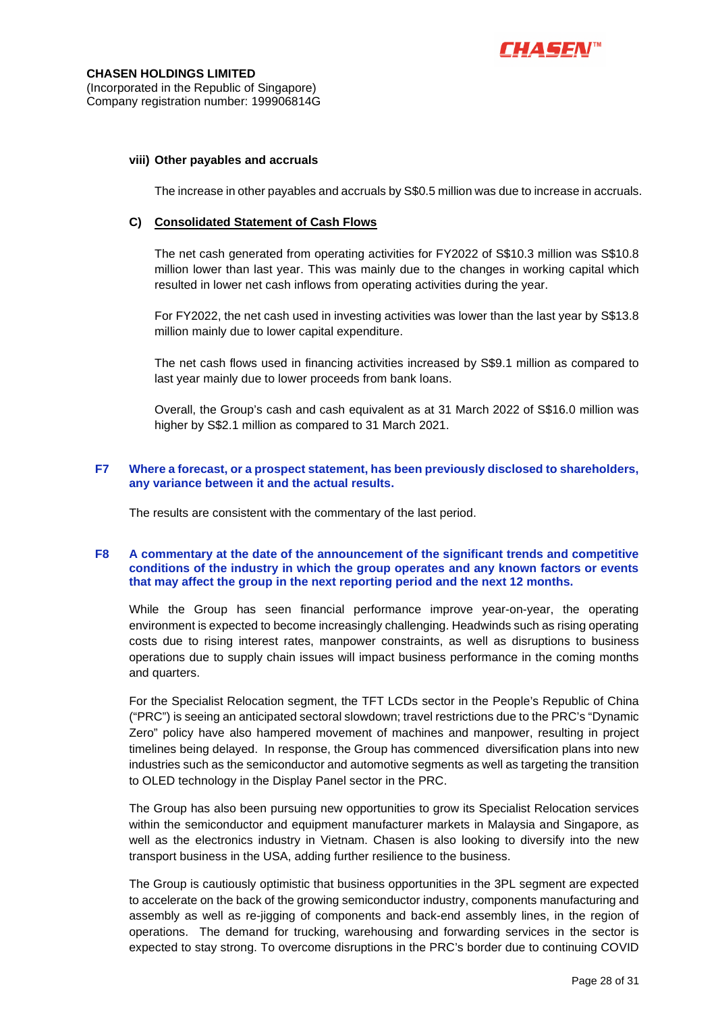

#### **viii) Other payables and accruals**

The increase in other payables and accruals by S\$0.5 million was due to increase in accruals.

#### **C) Consolidated Statement of Cash Flows**

The net cash generated from operating activities for FY2022 of S\$10.3 million was S\$10.8 million lower than last year. This was mainly due to the changes in working capital which resulted in lower net cash inflows from operating activities during the year.

For FY2022, the net cash used in investing activities was lower than the last year by S\$13.8 million mainly due to lower capital expenditure.

The net cash flows used in financing activities increased by S\$9.1 million as compared to last year mainly due to lower proceeds from bank loans.

Overall, the Group's cash and cash equivalent as at 31 March 2022 of S\$16.0 million was higher by S\$2.1 million as compared to 31 March 2021.

### **F7 Where a forecast, or a prospect statement, has been previously disclosed to shareholders, any variance between it and the actual results.**

The results are consistent with the commentary of the last period.

#### **F8 A commentary at the date of the announcement of the significant trends and competitive conditions of the industry in which the group operates and any known factors or events that may affect the group in the next reporting period and the next 12 months.**

While the Group has seen financial performance improve year-on-year, the operating environment is expected to become increasingly challenging. Headwinds such as rising operating costs due to rising interest rates, manpower constraints, as well as disruptions to business operations due to supply chain issues will impact business performance in the coming months and quarters.

For the Specialist Relocation segment, the TFT LCDs sector in the People's Republic of China ("PRC") is seeing an anticipated sectoral slowdown; travel restrictions due to the PRC's "Dynamic Zero" policy have also hampered movement of machines and manpower, resulting in project timelines being delayed. In response, the Group has commenced diversification plans into new industries such as the semiconductor and automotive segments as well as targeting the transition to OLED technology in the Display Panel sector in the PRC.

The Group has also been pursuing new opportunities to grow its Specialist Relocation services within the semiconductor and equipment manufacturer markets in Malaysia and Singapore, as well as the electronics industry in Vietnam. Chasen is also looking to diversify into the new transport business in the USA, adding further resilience to the business.

The Group is cautiously optimistic that business opportunities in the 3PL segment are expected to accelerate on the back of the growing semiconductor industry, components manufacturing and assembly as well as re-jigging of components and back-end assembly lines, in the region of operations. The demand for trucking, warehousing and forwarding services in the sector is expected to stay strong. To overcome disruptions in the PRC's border due to continuing COVID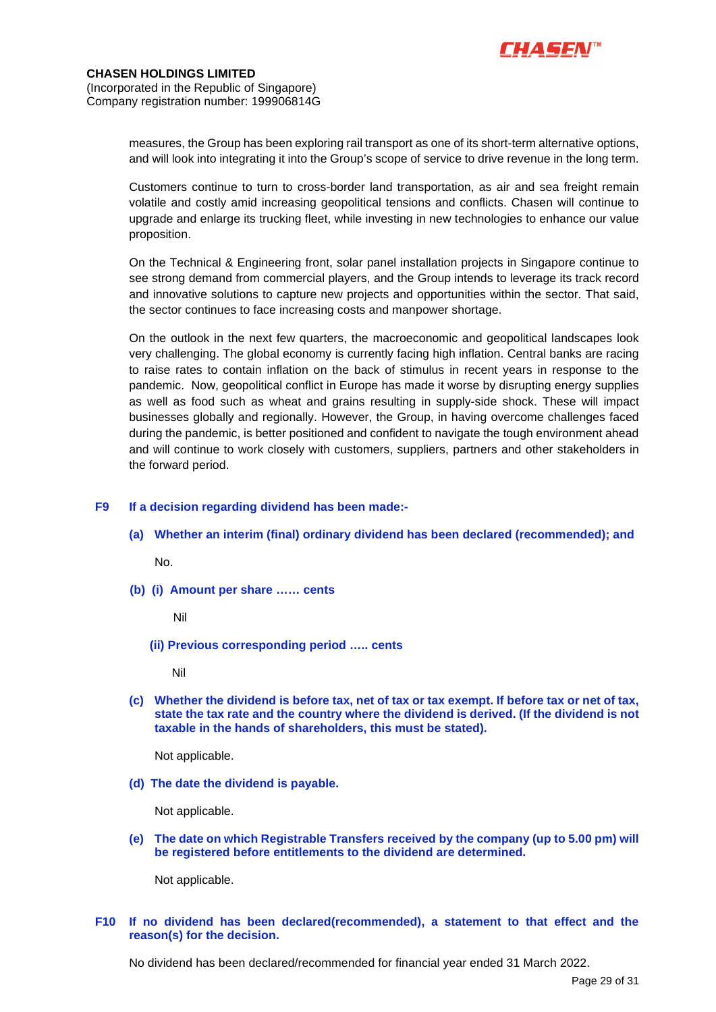

measures, the Group has been exploring rail transport as one of its short-term alternative options, and will look into integrating it into the Group's scope of service to drive revenue in the long term.

Customers continue to turn to cross-border land transportation, as air and sea freight remain volatile and costly amid increasing geopolitical tensions and conflicts. Chasen will continue to upgrade and enlarge its trucking fleet, while investing in new technologies to enhance our value proposition.

On the Technical & Engineering front, solar panel installation projects in Singapore continue to see strong demand from commercial players, and the Group intends to leverage its track record and innovative solutions to capture new projects and opportunities within the sector. That said, the sector continues to face increasing costs and manpower shortage.

On the outlook in the next few quarters, the macroeconomic and geopolitical landscapes look very challenging. The global economy is currently facing high inflation. Central banks are racing to raise rates to contain inflation on the back of stimulus in recent years in response to the pandemic. Now, geopolitical conflict in Europe has made it worse by disrupting energy supplies as well as food such as wheat and grains resulting in supply-side shock. These will impact businesses globally and regionally. However, the Group, in having overcome challenges faced during the pandemic, is better positioned and confident to navigate the tough environment ahead and will continue to work closely with customers, suppliers, partners and other stakeholders in the forward period.

### **F9 If a decision regarding dividend has been made:-**

**(a) Whether an interim (final) ordinary dividend has been declared (recommended); and** 

No.

**(b) (i) Amount per share …… cents** 

Nil

 **(ii) Previous corresponding period ….. cents** 

Nil

**(c) Whether the dividend is before tax, net of tax or tax exempt. If before tax or net of tax, state the tax rate and the country where the dividend is derived. (If the dividend is not taxable in the hands of shareholders, this must be stated).** 

Not applicable.

**(d) The date the dividend is payable.** 

Not applicable.

**(e) The date on which Registrable Transfers received by the company (up to 5.00 pm) will be registered before entitlements to the dividend are determined.** 

Not applicable.

### **F10 If no dividend has been declared(recommended), a statement to that effect and the reason(s) for the decision.**

No dividend has been declared/recommended for financial year ended 31 March 2022.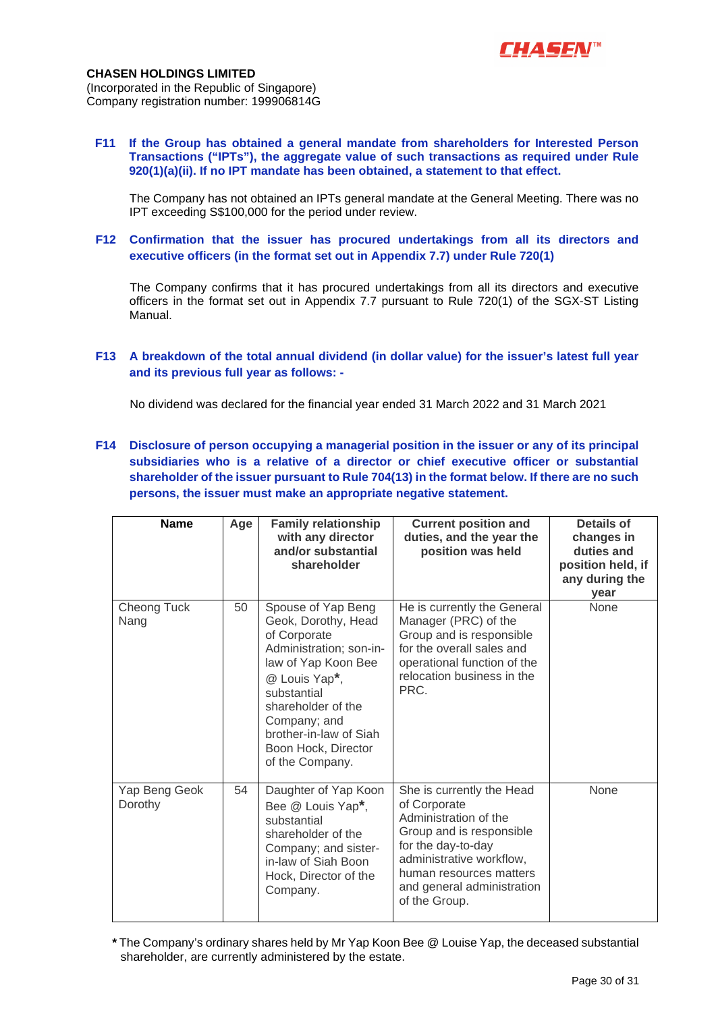

**F11 If the Group has obtained a general mandate from shareholders for Interested Person Transactions ("IPTs"), the aggregate value of such transactions as required under Rule 920(1)(a)(ii). If no IPT mandate has been obtained, a statement to that effect.** 

The Company has not obtained an IPTs general mandate at the General Meeting. There was no IPT exceeding S\$100,000 for the period under review.

**F12 Confirmation that the issuer has procured undertakings from all its directors and executive officers (in the format set out in Appendix 7.7) under Rule 720(1)** 

 The Company confirms that it has procured undertakings from all its directors and executive officers in the format set out in Appendix 7.7 pursuant to Rule 720(1) of the SGX-ST Listing Manual.

**F13 A breakdown of the total annual dividend (in dollar value) for the issuer's latest full year and its previous full year as follows: -** 

No dividend was declared for the financial year ended 31 March 2022 and 31 March 2021

**F14 Disclosure of person occupying a managerial position in the issuer or any of its principal subsidiaries who is a relative of a director or chief executive officer or substantial shareholder of the issuer pursuant to Rule 704(13) in the format below. If there are no such persons, the issuer must make an appropriate negative statement.** 

| <b>Name</b>              | Age | <b>Family relationship</b><br>with any director<br>and/or substantial<br>shareholder                                                                                                                                                                  | <b>Current position and</b><br>duties, and the year the<br>position was held                                                                                                                                               | <b>Details of</b><br>changes in<br>duties and<br>position held, if<br>any during the<br>year |
|--------------------------|-----|-------------------------------------------------------------------------------------------------------------------------------------------------------------------------------------------------------------------------------------------------------|----------------------------------------------------------------------------------------------------------------------------------------------------------------------------------------------------------------------------|----------------------------------------------------------------------------------------------|
| Cheong Tuck<br>Nang      | 50  | Spouse of Yap Beng<br>Geok, Dorothy, Head<br>of Corporate<br>Administration; son-in-<br>law of Yap Koon Bee<br>@ Louis Yap*,<br>substantial<br>shareholder of the<br>Company; and<br>brother-in-law of Siah<br>Boon Hock, Director<br>of the Company. | He is currently the General<br>Manager (PRC) of the<br>Group and is responsible<br>for the overall sales and<br>operational function of the<br>relocation business in the<br>PRC.                                          | None                                                                                         |
| Yap Beng Geok<br>Dorothy | 54  | Daughter of Yap Koon<br>Bee @ Louis Yap*,<br>substantial<br>shareholder of the<br>Company; and sister-<br>in-law of Siah Boon<br>Hock, Director of the<br>Company.                                                                                    | She is currently the Head<br>of Corporate<br>Administration of the<br>Group and is responsible<br>for the day-to-day<br>administrative workflow,<br>human resources matters<br>and general administration<br>of the Group. | None                                                                                         |

**\*** The Company's ordinary shares held by Mr Yap Koon Bee @ Louise Yap, the deceased substantial shareholder, are currently administered by the estate.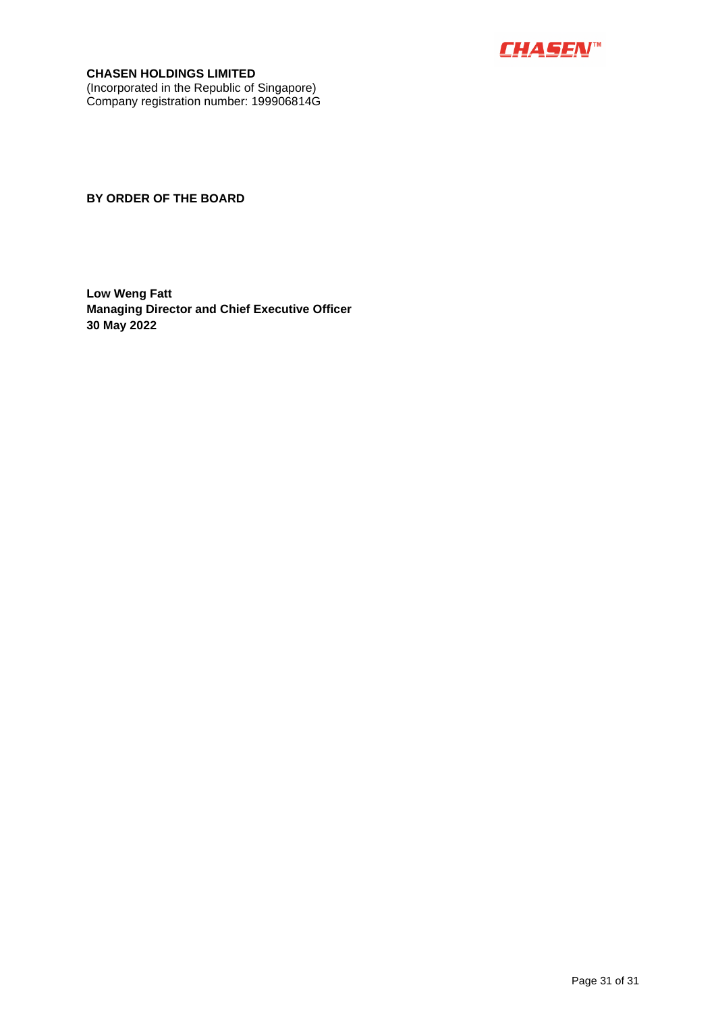

**CHASEN HOLDINGS LIMITED** (Incorporated in the Republic of Singapore) Company registration number: 199906814G

**BY ORDER OF THE BOARD** 

**Low Weng Fatt Managing Director and Chief Executive Officer 30 May 2022**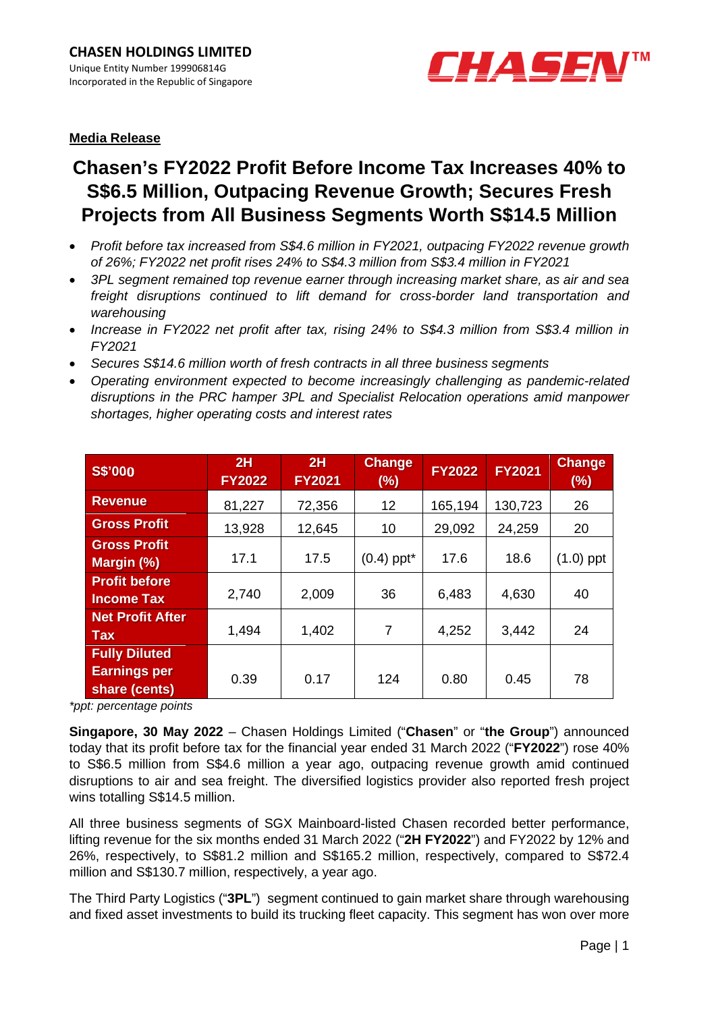

# **Media Release**

# **Chasen's FY2022 Profit Before Income Tax Increases 40% to S\$6.5 Million, Outpacing Revenue Growth; Secures Fresh Projects from All Business Segments Worth S\$14.5 Million**

- *Profit before tax increased from S\$4.6 million in FY2021, outpacing FY2022 revenue growth of 26%; FY2022 net profit rises 24% to S\$4.3 million from S\$3.4 million in FY2021*
- *3PL segment remained top revenue earner through increasing market share, as air and sea freight disruptions continued to lift demand for cross-border land transportation and warehousing*
- *Increase in FY2022 net profit after tax, rising 24% to S\$4.3 million from S\$3.4 million in FY2021*
- *Secures S\$14.6 million worth of fresh contracts in all three business segments*
- *Operating environment expected to become increasingly challenging as pandemic-related disruptions in the PRC hamper 3PL and Specialist Relocation operations amid manpower shortages, higher operating costs and interest rates*

| <b>S\$'000</b>                                               | 2H<br><b>FY2022</b> | 2H<br><b>FY2021</b> | <b>Change</b><br>(%)     | <b>FY2022</b> | <b>FY2021</b> | <b>Change</b><br>(%) |
|--------------------------------------------------------------|---------------------|---------------------|--------------------------|---------------|---------------|----------------------|
| <b>Revenue</b>                                               | 81,227              | 72,356              | 12                       | 165,194       | 130,723       | 26                   |
| <b>Gross Profit</b>                                          | 13,928              | 12,645              | 10                       | 29,092        | 24,259        | 20                   |
| <b>Gross Profit</b><br>Margin (%)                            | 17.1                | 17.5                | $(0.4)$ ppt <sup>*</sup> | 17.6          | 18.6          | $(1.0)$ ppt          |
| <b>Profit before</b><br><b>Income Tax</b>                    | 2,740               | 2,009               | 36                       | 6,483         | 4,630         | 40                   |
| <b>Net Profit After</b><br><b>Tax</b>                        | 1,494               | 1,402               | $\overline{7}$           | 4,252         | 3,442         | 24                   |
| <b>Fully Diluted</b><br><b>Earnings per</b><br>share (cents) | 0.39                | 0.17                | 124                      | 0.80          | 0.45          | 78                   |

*\*ppt: percentage points* 

**Singapore, 30 May 2022** – Chasen Holdings Limited ("**Chasen**" or "**the Group**") announced today that its profit before tax for the financial year ended 31 March 2022 ("**FY2022**") rose 40% to S\$6.5 million from S\$4.6 million a year ago, outpacing revenue growth amid continued disruptions to air and sea freight. The diversified logistics provider also reported fresh project wins totalling S\$14.5 million.

All three business segments of SGX Mainboard-listed Chasen recorded better performance, lifting revenue for the six months ended 31 March 2022 ("**2H FY2022**") and FY2022 by 12% and 26%, respectively, to S\$81.2 million and S\$165.2 million, respectively, compared to S\$72.4 million and S\$130.7 million, respectively, a year ago.

The Third Party Logistics ("**3PL**") segment continued to gain market share through warehousing and fixed asset investments to build its trucking fleet capacity. This segment has won over more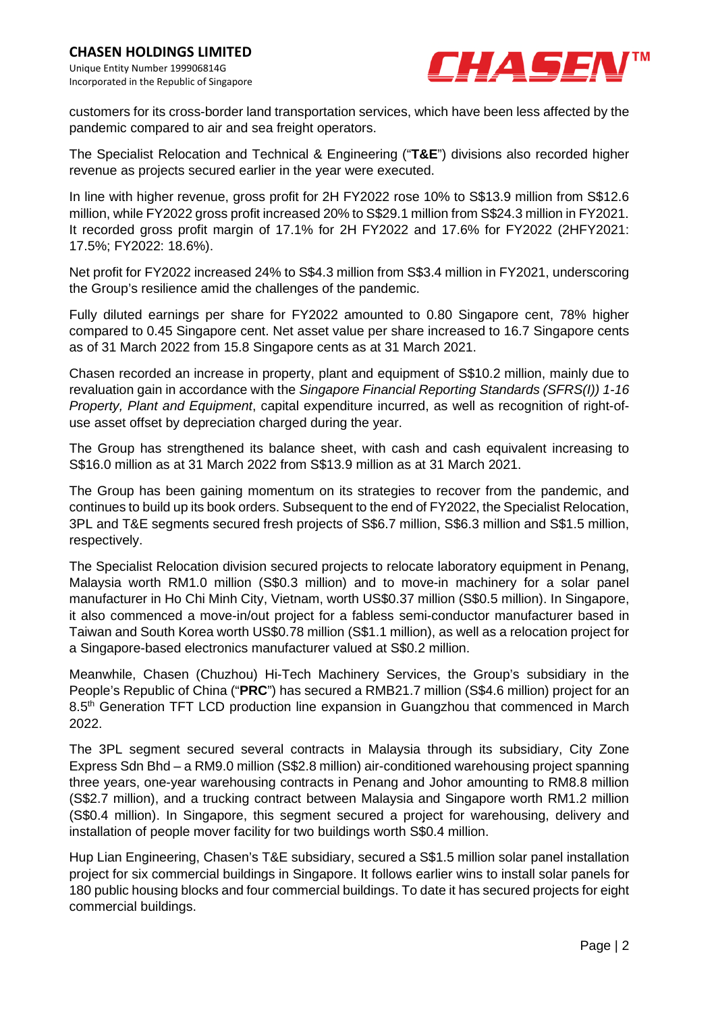

customers for its cross-border land transportation services, which have been less affected by the pandemic compared to air and sea freight operators.

The Specialist Relocation and Technical & Engineering ("**T&E**") divisions also recorded higher revenue as projects secured earlier in the year were executed.

In line with higher revenue, gross profit for 2H FY2022 rose 10% to S\$13.9 million from S\$12.6 million, while FY2022 gross profit increased 20% to S\$29.1 million from S\$24.3 million in FY2021. It recorded gross profit margin of 17.1% for 2H FY2022 and 17.6% for FY2022 (2HFY2021: 17.5%; FY2022: 18.6%).

Net profit for FY2022 increased 24% to S\$4.3 million from S\$3.4 million in FY2021, underscoring the Group's resilience amid the challenges of the pandemic.

Fully diluted earnings per share for FY2022 amounted to 0.80 Singapore cent, 78% higher compared to 0.45 Singapore cent. Net asset value per share increased to 16.7 Singapore cents as of 31 March 2022 from 15.8 Singapore cents as at 31 March 2021.

Chasen recorded an increase in property, plant and equipment of S\$10.2 million, mainly due to revaluation gain in accordance with the *Singapore Financial Reporting Standards (SFRS(I)) 1-16 Property, Plant and Equipment*, capital expenditure incurred, as well as recognition of right-ofuse asset offset by depreciation charged during the year.

The Group has strengthened its balance sheet, with cash and cash equivalent increasing to S\$16.0 million as at 31 March 2022 from S\$13.9 million as at 31 March 2021.

The Group has been gaining momentum on its strategies to recover from the pandemic, and continues to build up its book orders. Subsequent to the end of FY2022, the Specialist Relocation, 3PL and T&E segments secured fresh projects of S\$6.7 million, S\$6.3 million and S\$1.5 million, respectively.

The Specialist Relocation division secured projects to relocate laboratory equipment in Penang, Malaysia worth RM1.0 million (S\$0.3 million) and to move-in machinery for a solar panel manufacturer in Ho Chi Minh City, Vietnam, worth US\$0.37 million (S\$0.5 million). In Singapore, it also commenced a move-in/out project for a fabless semi-conductor manufacturer based in Taiwan and South Korea worth US\$0.78 million (S\$1.1 million), as well as a relocation project for a Singapore-based electronics manufacturer valued at S\$0.2 million.

Meanwhile, Chasen (Chuzhou) Hi-Tech Machinery Services, the Group's subsidiary in the People's Republic of China ("**PRC**") has secured a RMB21.7 million (S\$4.6 million) project for an 8.5<sup>th</sup> Generation TFT LCD production line expansion in Guangzhou that commenced in March 2022.

The 3PL segment secured several contracts in Malaysia through its subsidiary, City Zone Express Sdn Bhd – a RM9.0 million (S\$2.8 million) air-conditioned warehousing project spanning three years, one-year warehousing contracts in Penang and Johor amounting to RM8.8 million (S\$2.7 million), and a trucking contract between Malaysia and Singapore worth RM1.2 million (S\$0.4 million). In Singapore, this segment secured a project for warehousing, delivery and installation of people mover facility for two buildings worth S\$0.4 million.

Hup Lian Engineering, Chasen's T&E subsidiary, secured a S\$1.5 million solar panel installation project for six commercial buildings in Singapore. It follows earlier wins to install solar panels for 180 public housing blocks and four commercial buildings. To date it has secured projects for eight commercial buildings.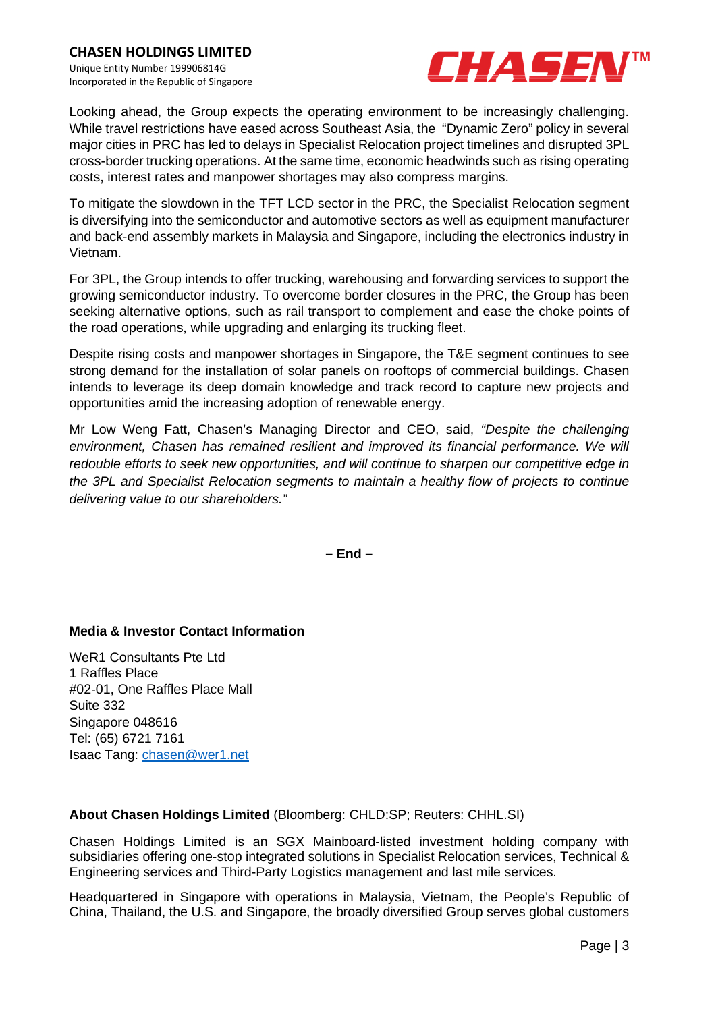

Looking ahead, the Group expects the operating environment to be increasingly challenging. While travel restrictions have eased across Southeast Asia, the "Dynamic Zero" policy in several major cities in PRC has led to delays in Specialist Relocation project timelines and disrupted 3PL cross-border trucking operations. At the same time, economic headwinds such as rising operating costs, interest rates and manpower shortages may also compress margins.

To mitigate the slowdown in the TFT LCD sector in the PRC, the Specialist Relocation segment is diversifying into the semiconductor and automotive sectors as well as equipment manufacturer and back-end assembly markets in Malaysia and Singapore, including the electronics industry in Vietnam.

For 3PL, the Group intends to offer trucking, warehousing and forwarding services to support the growing semiconductor industry. To overcome border closures in the PRC, the Group has been seeking alternative options, such as rail transport to complement and ease the choke points of the road operations, while upgrading and enlarging its trucking fleet.

Despite rising costs and manpower shortages in Singapore, the T&E segment continues to see strong demand for the installation of solar panels on rooftops of commercial buildings. Chasen intends to leverage its deep domain knowledge and track record to capture new projects and opportunities amid the increasing adoption of renewable energy.

Mr Low Weng Fatt, Chasen's Managing Director and CEO, said, *"Despite the challenging environment, Chasen has remained resilient and improved its financial performance. We will redouble efforts to seek new opportunities, and will continue to sharpen our competitive edge in the 3PL and Specialist Relocation segments to maintain a healthy flow of projects to continue delivering value to our shareholders."*

**– End –** 

### **Media & Investor Contact Information**

WeR1 Consultants Pte Ltd 1 Raffles Place #02-01, One Raffles Place Mall Suite 332 Singapore 048616 Tel: (65) 6721 7161 Isaac Tang: chasen@wer1.net

### **About Chasen Holdings Limited** (Bloomberg: CHLD:SP; Reuters: CHHL.SI)

Chasen Holdings Limited is an SGX Mainboard-listed investment holding company with subsidiaries offering one-stop integrated solutions in Specialist Relocation services, Technical & Engineering services and Third-Party Logistics management and last mile services.

Headquartered in Singapore with operations in Malaysia, Vietnam, the People's Republic of China, Thailand, the U.S. and Singapore, the broadly diversified Group serves global customers